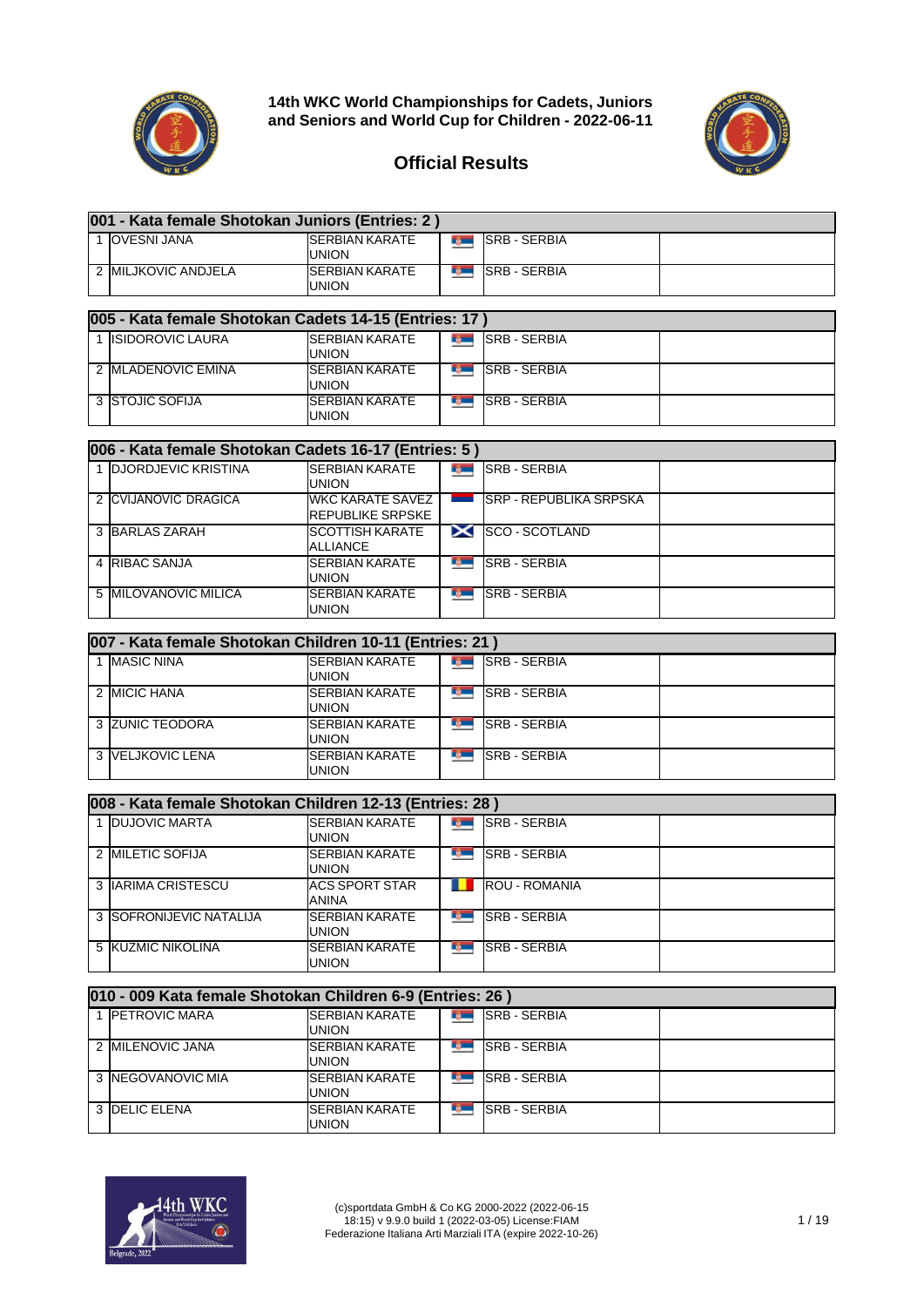

**001 - Kata female Shotokan Juniors (Entries: 2 )**

**14th WKC World Championships for Cadets, Juniors and Seniors and World Cup for Children - 2022-06-11**



## **Official Results**

| 1 OVESNI JANA                                           | <b>SERBIAN KARATE</b><br><b>UNION</b>              | rg —          | <b>SRB - SERBIA</b>           |  |
|---------------------------------------------------------|----------------------------------------------------|---------------|-------------------------------|--|
| 2 MILJKOVIC ANDJELA                                     | <b>SERBIAN KARATE</b><br><b>UNION</b>              | <b>Report</b> | <b>SRB - SERBIA</b>           |  |
|                                                         |                                                    |               |                               |  |
| 005 - Kata female Shotokan Cadets 14-15 (Entries: 17)   |                                                    |               |                               |  |
| 1 ISIDOROVIC LAURA                                      | <b>SERBIAN KARATE</b><br><b>UNION</b>              | <b>Report</b> | <b>SRB - SERBIA</b>           |  |
| 2 MLADENOVIC EMINA                                      | <b>SERBIAN KARATE</b><br><b>UNION</b>              |               | <b>ISRB-SERBIA</b>            |  |
| <b>3 STOJIC SOFIJA</b>                                  | <b>SERBIAN KARATE</b><br><b>UNION</b>              | r gan         | <b>SRB - SERBIA</b>           |  |
| 006 - Kata female Shotokan Cadets 16-17 (Entries: 5)    |                                                    |               |                               |  |
|                                                         |                                                    |               |                               |  |
| 1 DJORDJEVIC KRISTINA                                   | <b>SERBIAN KARATE</b><br><b>UNION</b>              |               | <b>SRB-SERBIA</b>             |  |
| 2 CVIJANOVIĆ DRAGICA                                    | <b>WKC KARATE SAVEZ</b><br><b>REPUBLIKE SRPSKE</b> | <u>and</u>    | <b>SRP - REPUBLIKA SRPSKA</b> |  |
| 3 BARLAS ZARAH                                          | <b>SCOTTISH KARATE</b><br><b>ALLIANCE</b>          |               | SCO - SCOTLAND                |  |
| 4 RIBAC SANJA                                           | <b>SERBIAN KARATE</b><br><b>UNION</b>              | r gwn         | <b>SRB - SERBIA</b>           |  |
| 5 MILOVANOVIC MILICA                                    | <b>SERBIAN KARATE</b><br><b>UNION</b>              | r gwn         | <b>SRB - SERBIA</b>           |  |
|                                                         |                                                    |               |                               |  |
| 007 - Kata female Shotokan Children 10-11 (Entries: 21) |                                                    |               |                               |  |
| 1 MASIC NINA                                            | <b>SERBIAN KARATE</b><br><b>UNION</b>              |               | <b>IN SRB-SERBIA</b>          |  |
| 2 MICIC HANA                                            | <b>SERBIAN KARATE</b><br><b>UNION</b>              | <b>Report</b> | <b>SRB - SERBIA</b>           |  |
| 3 ZUNIC TEODORA                                         | <b>SERBIAN KARATE</b><br>UNION                     | <b>Record</b> | <b>SRB - SERBIA</b>           |  |
| 3 VELJKOVIC LENA                                        | <b>SERBIAN KARATE</b><br><b>UNION</b>              | rg –          | <b>SRB - SERBIA</b>           |  |
|                                                         |                                                    |               |                               |  |
| 008 - Kata female Shotokan Children 12-13 (Entries: 28) |                                                    |               |                               |  |
| 1 DUJOVIC MARTA                                         | <b>SERBIAN KARATE</b><br><b>UNION</b>              |               | <b>SRB-SERBIA</b>             |  |
| 2 MILETIC SOFIJA                                        | <b>SERBIAN KARATE</b><br><b>UNION</b>              | <b>B</b>      | <b>SRB - SERBIA</b>           |  |
| <b>3 IARIMA CRISTESCU</b>                               | <b>ACS SPORT STAR</b>                              |               | <b>ROU - ROMANIA</b>          |  |

ANINA<br>SERBIAN KARATE 3 SOFRONIJEVIC NATALIJA t, SRB - SERBIA UNION<br>SERBIAN KARATE 5 KUZMIC NIKOLINA SRB - SERBIA тğ. UNION

| 010 - 009 Kata female Shotokan Children 6-9 (Entries: 26) |                                |  |                     |  |  |  |  |
|-----------------------------------------------------------|--------------------------------|--|---------------------|--|--|--|--|
| 1 PETROVIC MARA                                           | <b>SERBIAN KARATE</b><br>union |  | <b>SRB - SERBIA</b> |  |  |  |  |
| 2 MILENOVIC JANA                                          | <b>SERBIAN KARATE</b><br>union |  | <b>SRB - SERBIA</b> |  |  |  |  |
| 3 <b>INEGOVANOVIC MIA</b>                                 | <b>SERBIAN KARATE</b><br>UNION |  | <b>SRB - SERBIA</b> |  |  |  |  |
| 3 <b>DELIC ELENA</b>                                      | <b>SERBIAN KARATE</b><br>UNION |  | <b>SRB - SERBIA</b> |  |  |  |  |

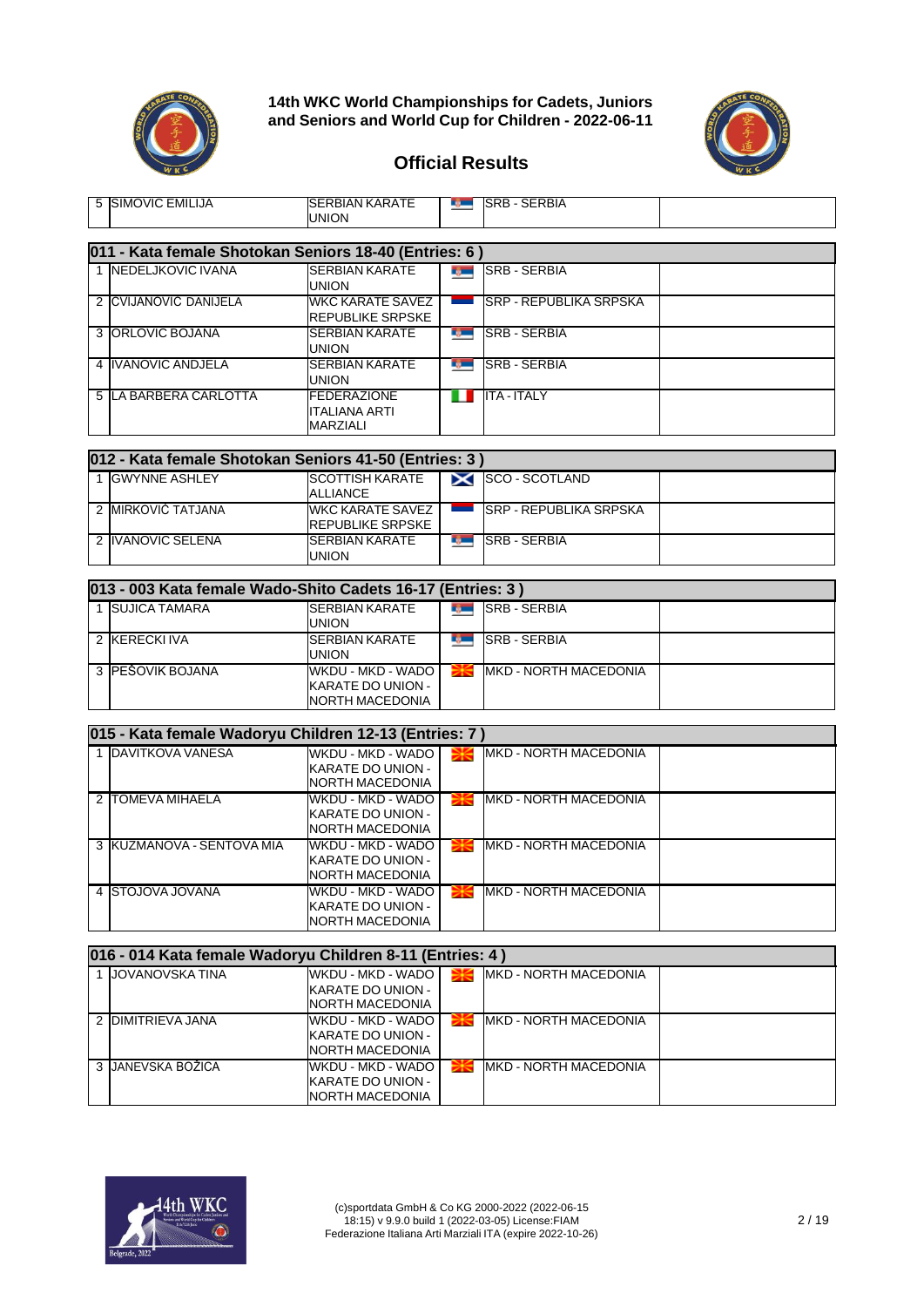

**14th WKC World Championships for Cadets, Juniors and Seniors and World Cup for Children - 2022-06-11**



#### **Official Results**

| 5 SIMOVIC EMILIJA                                          | <b>SERBIAN KARATE</b><br><b>UNION</b>                                               |                | <b>SRB-SERBIA</b>                         |  |
|------------------------------------------------------------|-------------------------------------------------------------------------------------|----------------|-------------------------------------------|--|
| 011 - Kata female Shotokan Seniors 18-40 (Entries: 6)      |                                                                                     |                |                                           |  |
| 1 NEDELJKOVIC IVANA                                        | <b>SERBIAN KARATE</b><br><b>UNION</b>                                               |                | <b>SRB-SERBIA</b>                         |  |
| 2 CVIJANOVIĆ DANIJELA                                      | <b>WKC KARATE SAVEZ</b><br><b>REPUBLIKE SRPSKE</b>                                  |                | <b>SRP - REPUBLIKA SRPSKA</b>             |  |
| 3 ORLOVIC BOJANA                                           | <b>SERBIAN KARATE</b><br>union                                                      | rg m           | <b>SRB - SERBIA</b>                       |  |
| 4 IVANOVIC ANDJELA                                         | <b>SERBIAN KARATE</b><br>UNION                                                      | rg –           | <b>SRB - SERBIA</b>                       |  |
| 5 LA BARBERA CARLOTTA                                      | <b>FEDERAZIONE</b><br><b>ITALIANA ARTI</b><br><b>MARZIALI</b>                       | ш              | <b>ITA - ITALY</b>                        |  |
| 012 - Kata female Shotokan Seniors 41-50 (Entries: 3)      |                                                                                     |                |                                           |  |
| 1 GWYNNE ASHLEY                                            | <b>SCOTTISH KARATE</b><br><b>ALLIANCE</b>                                           |                | SCO-SCOTLAND                              |  |
| 2 MIRKOVIĆ TATJANA                                         | <b>WKC KARATE SAVEZ</b><br><b>REPUBLIKE SRPSKE</b>                                  | <b>Service</b> | <b>SRP - REPUBLIKA SRPSKA</b>             |  |
| 2 IVANOVIC SELENA                                          | <b>SERBIAN KARATE</b><br><b>UNION</b>                                               |                | <b>THE SRB-SERBIA</b>                     |  |
| 013 - 003 Kata female Wado-Shito Cadets 16-17 (Entries: 3) |                                                                                     |                |                                           |  |
| 1 SUJICA TAMARA                                            | <b>SERBIAN KARATE</b><br><b>UNION</b>                                               | $\frac{1}{2}$  | <b>SRB - SERBIA</b>                       |  |
| 2 KERECKI IVA                                              | <b>SERBIAN KARATE</b><br>UNION                                                      |                | <b>SRB-SERBIA</b>                         |  |
| 3 PEŠOVIK BOJANA                                           | WKDU - MKD - WADO<br><b>KARATE DO UNION -</b><br>NORTH MACEDONIA                    |                | <b>MKD - NORTH MACEDONIA</b>              |  |
| 015 - Kata female Wadoryu Children 12-13 (Entries: 7)      |                                                                                     |                |                                           |  |
| 1 DAVITKOVA VANESA                                         | WKDU - MKD - WADO<br><b>KARATE DO UNION -</b><br>NORTH MACEDONIA                    | ₩              | MKD - NORTH MACEDONIA                     |  |
| 2 TOMEVA MIHAELA                                           | WKDU - MKD - WADO<br><b>KARATE DO UNION -</b><br>NORTH MACEDONIA                    | ₩              | MKD - NORTH MACEDONIA                     |  |
| 3 KUZMANOVA - SENTOVA MIA                                  | WKDU - MKD - WADO<br><b>KARATE DO UNION -</b><br>NORTH MACEDONIA                    | ₩              | MKD - NORTH MACEDONIA                     |  |
| 4 STOJOVA JOVANA                                           | WKDU - MKD - WADO<br><b>KARATE DO UNION -</b><br>NORTH MACEDONIA                    |                | <b>EXAMPLE IN A DELIVER THE MACEDONIA</b> |  |
| 016 - 014 Kata female Wadoryu Children 8-11 (Entries: 4)   |                                                                                     |                |                                           |  |
| 1 JOVANOVSKA TINA                                          | <b>WKDU - MKD - WADO</b><br>KARATE DO UNION -                                       | ₩              | MKD - NORTH MACEDONIA                     |  |
| 2 DIMITRIEVA JANA                                          | NORTH MACEDONIA<br>WKDU - MKD - WADO<br><b>KARATE DO UNION -</b><br>NORTH MACEDONIA | ₩              | <b>IMKD - NORTH MACEDONIA</b>             |  |
| 3 JANEVSKA BOŽICA                                          | WKDU - MKD - WADO<br>KARATE DO UNION -                                              | ₩              | MKD - NORTH MACEDONIA                     |  |



NORTH MACEDONIA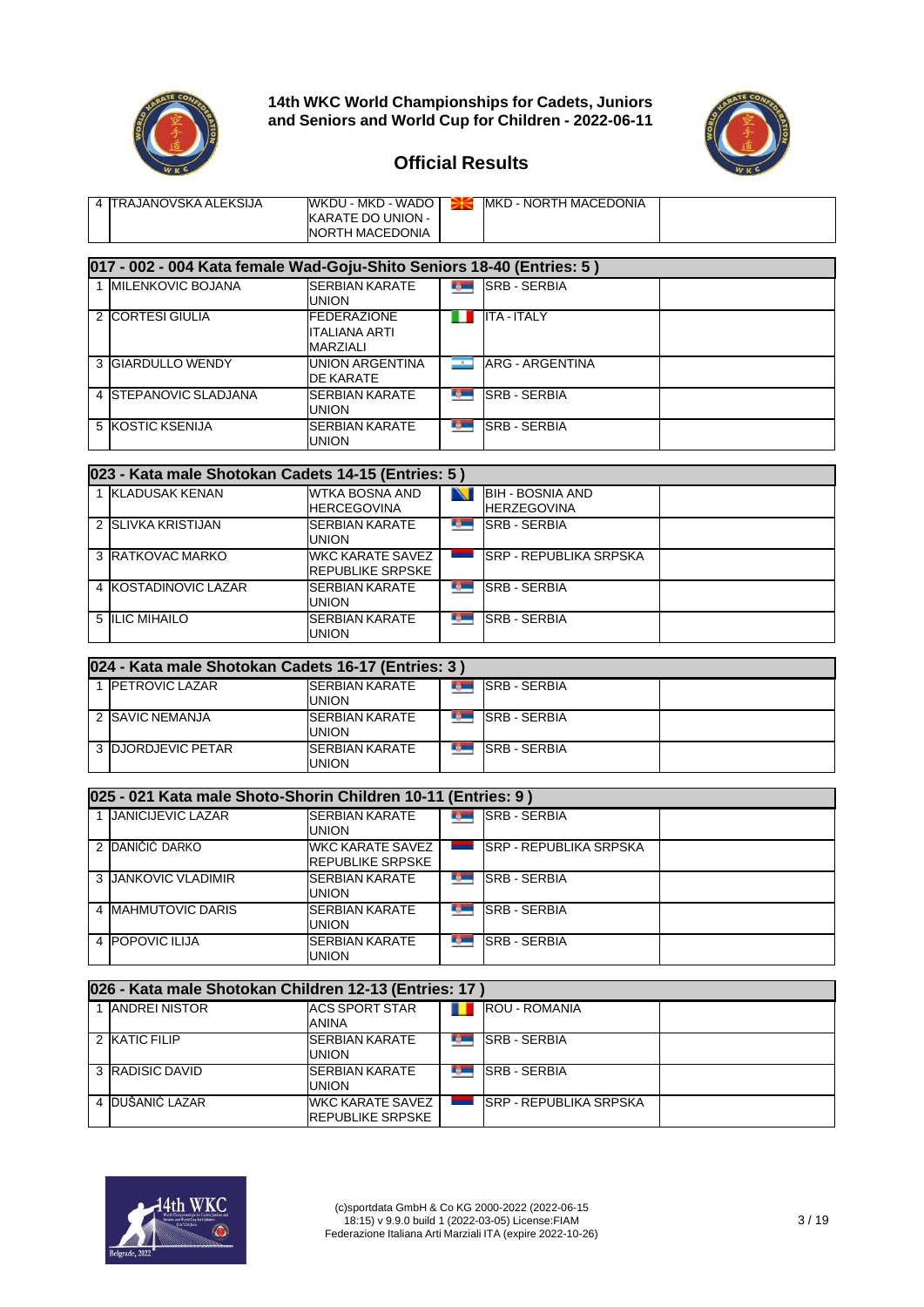



| MKD - NORTH MACEDONIA<br>WKDU - MKD - WADO I<br><b>ITRAJANOVSKA ALEKSIJA</b><br>KARATE DO UNION -<br><b>NORTH MACEDONIA</b> |
|-----------------------------------------------------------------------------------------------------------------------------|
|-----------------------------------------------------------------------------------------------------------------------------|

| <u> 017 - 002 - 004 Kata female Wad-Goju-Shito Seniors 18-40 (Entries: 5 )</u> |                                                  |                  |                     |  |  |  |  |
|--------------------------------------------------------------------------------|--------------------------------------------------|------------------|---------------------|--|--|--|--|
| <b>MILENKOVIC BOJANA</b>                                                       | <b>SERBIAN KARATE</b><br>UNION                   | D.               | <b>SRB - SERBIA</b> |  |  |  |  |
| 2 CORTESI GIULIA                                                               | <b>IFEDERAZIONE</b><br>ITALIANA ARTI<br>MARZIALI |                  | <b>ITA - ITALY</b>  |  |  |  |  |
| 3 GIARDULLO WENDY                                                              | <b>UNION ARGENTINA</b><br>DE KARATE              |                  | ARG - ARGENTINA     |  |  |  |  |
| 4 STEPANOVIC SLADJANA                                                          | <b>ISERBIAN KARATE</b><br><b>UNION</b>           | <b>ROLL</b>      | <b>SRB-SERBIA</b>   |  |  |  |  |
| 5 KOSTIC KSENIJA                                                               | <b>SERBIAN KARATE</b><br>UNION                   | <b>TELESCOPE</b> | <b>SRB-SERBIA</b>   |  |  |  |  |

| 023 - Kata male Shotokan Cadets 14-15 (Entries: 5) |                                              |                 |                                               |  |  |  |
|----------------------------------------------------|----------------------------------------------|-----------------|-----------------------------------------------|--|--|--|
| 1 KLADUSAK KENAN                                   | WTKA BOSNA AND<br><b>HERCEGOVINA</b>         |                 | <b>BIH - BOSNIA AND</b><br><b>HERZEGOVINA</b> |  |  |  |
| 2 SLIVKA KRISTIJAN                                 | <b>SERBIAN KARATE</b><br><b>UNION</b>        | <b>III.</b>     | <b>SRB - SERBIA</b>                           |  |  |  |
| 3 RATKOVAC MARKO                                   | <b>WKC KARATE SAVEZ</b><br>IREPUBLIKE SRPSKE |                 | <b>ISRP - REPUBLIKA SRPSKA</b>                |  |  |  |
| 4 KOSTADINOVIC LAZAR                               | <b>ISERBIAN KARATE</b><br><b>UNION</b>       | <b>REGISTER</b> | <b>SRB - SERBIA</b>                           |  |  |  |
| 5 ILIC MIHAILO                                     | <b>SERBIAN KARATE</b><br><b>UNION</b>        | <b>Light</b>    | <b>SRB - SERBIA</b>                           |  |  |  |

| 024 - Kata male Shotokan Cadets 16-17 (Entries: 3) |                                        |  |                     |  |  |  |
|----------------------------------------------------|----------------------------------------|--|---------------------|--|--|--|
| <b>IPETROVIC LAZAR</b>                             | <b>ISERBIAN KARATE</b><br>UNION        |  | <b>SRB - SERBIA</b> |  |  |  |
| 2 SAVIC NEMANJA                                    | <b>ISERBIAN KARATE</b><br><b>UNION</b> |  | <b>SRB - SERBIA</b> |  |  |  |
| 3 <b>IDJORDJEVIC PETAR</b>                         | <b>SERBIAN KARATE</b><br>union         |  | <b>SRB - SERBIA</b> |  |  |  |

| 025 - 021 Kata male Shoto-Shorin Children 10-11 (Entries: 9) |                                             |              |                                |  |  |  |
|--------------------------------------------------------------|---------------------------------------------|--------------|--------------------------------|--|--|--|
| <b>JANICIJEVIC LAZAR</b>                                     | <b>SERBIAN KARATE</b><br>UNION              |              | <b>SRB - SERBIA</b>            |  |  |  |
| 2 DANIČIĆ DARKO                                              | <b>WKC KARATE SAVEZ</b><br>REPUBLIKE SRPSKE |              | <b>ISRP - REPUBLIKA SRPSKA</b> |  |  |  |
| 3 JANKOVIC VLADIMIR                                          | <b>SERBIAN KARATE</b><br>union              | <b>ILLEN</b> | <b>SRB - SERBIA</b>            |  |  |  |
| 4 MAHMUTOVIC DARIS                                           | <b>SERBIAN KARATE</b><br>union              |              | <b>SRB - SERBIA</b>            |  |  |  |
| 4 <b>POPOVIC ILIJA</b>                                       | <b>SERBIAN KARATE</b><br>union              | <b>BULK</b>  | <b>SRB - SERBIA</b>            |  |  |  |

| 026 - Kata male Shotokan Children 12-13 (Entries: 17) |                                                    |  |                                |  |  |  |  |
|-------------------------------------------------------|----------------------------------------------------|--|--------------------------------|--|--|--|--|
| 1 ANDREI NISTOR                                       | <b>ACS SPORT STAR</b><br>ANINA                     |  | <b>ROU - ROMANIA</b>           |  |  |  |  |
| 2 KATIC FILIP                                         | <b>SERBIAN KARATE</b><br>union                     |  | <b>SRB - SERBIA</b>            |  |  |  |  |
| 3 RADISIC DAVID                                       | <b>SERBIAN KARATE</b><br>UNION                     |  | <b>SRB - SERBIA</b>            |  |  |  |  |
| 4 DUŠANIĆ LAZAR                                       | <b>WKC KARATE SAVEZ</b><br><b>REPUBLIKE SRPSKE</b> |  | <b>ISRP - REPUBLIKA SRPSKA</b> |  |  |  |  |

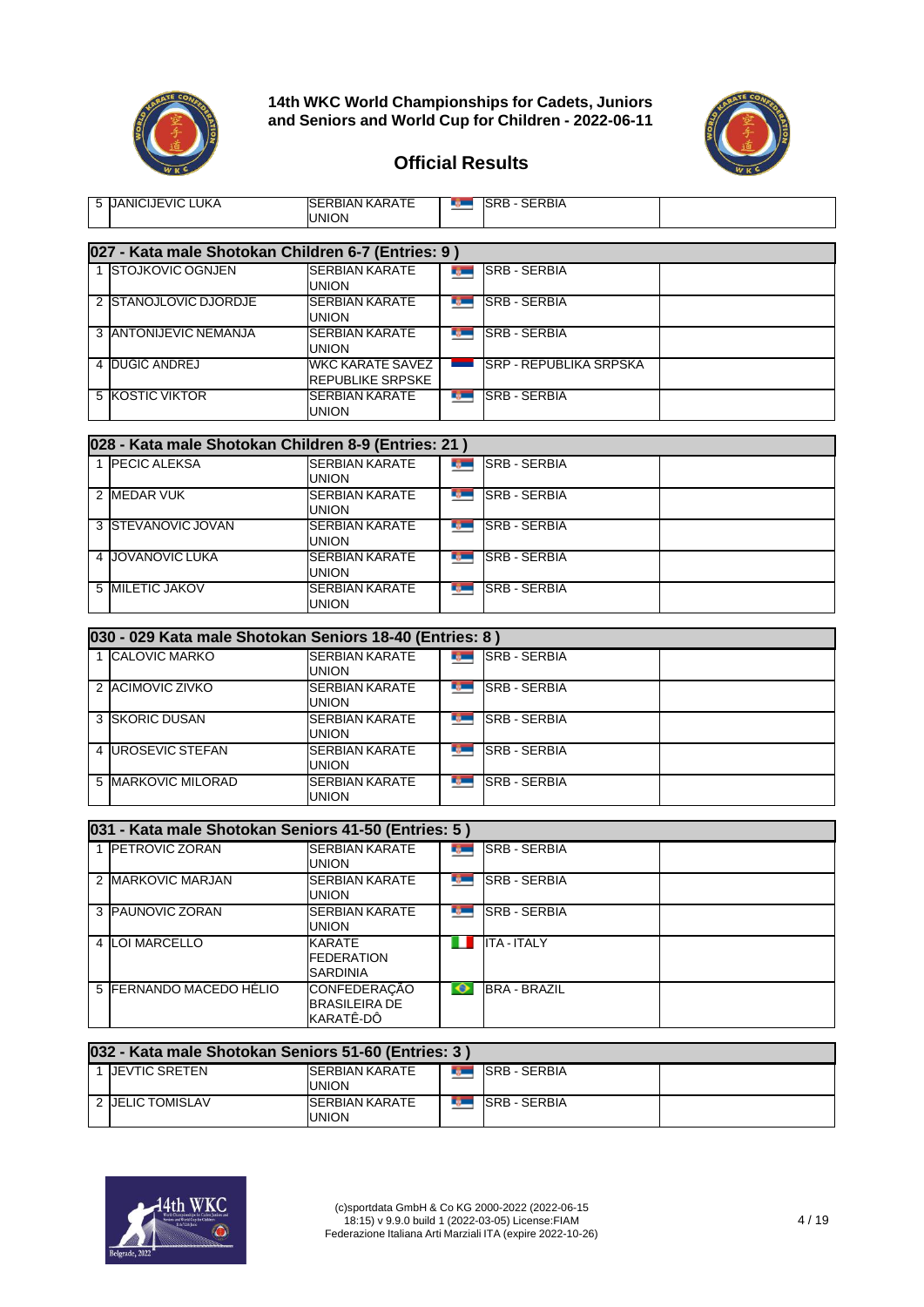



| 5 JANICIJEVIC LUKA                                      | <b>SERBIAN KARATE</b><br><b>UNION</b>                 |                | <b>SRB-SERBIA</b>             |  |
|---------------------------------------------------------|-------------------------------------------------------|----------------|-------------------------------|--|
| 027 - Kata male Shotokan Children 6-7 (Entries: 9)      |                                                       |                |                               |  |
| 1 STOJKOVIC OGNJEN                                      | <b>SERBIAN KARATE</b><br><b>UNION</b>                 | <b>Remarks</b> | <b>SRB - SERBIA</b>           |  |
| 2 STANOJLOVIC DJORDJE                                   | <b>SERBIAN KARATE</b><br><b>UNION</b>                 |                | <b>No. SERBIA</b>             |  |
| 3 ANTONIJEVIC NEMANJA                                   | <b>SERBIAN KARATE</b><br><b>UNION</b>                 |                | <b>SRB - SERBIA</b>           |  |
| 4 DUGIĆ ANDREJ                                          | <b>WKC KARATE SAVEZ</b><br><b>REPUBLIKE SRPSKE</b>    | <b>Service</b> | <b>SRP - REPUBLIKA SRPSKA</b> |  |
| <b>5 KOSTIC VIKTOR</b>                                  | <b>SERBIAN KARATE</b><br><b>UNION</b>                 |                | <b>MORE SERBIA</b>            |  |
| 028 - Kata male Shotokan Children 8-9 (Entries: 21)     |                                                       |                |                               |  |
| 1 PECIC ALEKSA                                          | <b>SERBIAN KARATE</b><br><b>UNION</b>                 | rg —           | <b>SRB - SERBIA</b>           |  |
| 2 MEDAR VUK                                             | <b>SERBIAN KARATE</b><br><b>UNION</b>                 | صرد            | <b>SRB - SERBIA</b>           |  |
| 3 STEVANOVIC JOVAN                                      | <b>SERBIAN KARATE</b><br><b>UNION</b>                 | rj —           | <b>SRB - SERBIA</b>           |  |
| 4 JOVANOVIC LUKA                                        | <b>SERBIAN KARATE</b><br><b>UNION</b>                 | rj w           | <b>SRB - SERBIA</b>           |  |
| 5 MILETIC JAKOV                                         | <b>SERBIAN KARATE</b><br><b>UNION</b>                 | r juni         | <b>SRB - SERBIA</b>           |  |
| 030 - 029 Kata male Shotokan Seniors 18-40 (Entries: 8) |                                                       |                |                               |  |
| 1 CALOVIC MARKO                                         | <b>SERBIAN KARATE</b><br><b>UNION</b>                 |                | <b>SRB-SERBIA</b>             |  |
| 2 ACIMOVIC ZIVKO                                        | <b>SERBIAN KARATE</b><br><b>UNION</b>                 |                | <b>MORE SERBIA</b>            |  |
| 3 SKORIC DUSAN                                          | <b>SERBIAN KARATE</b><br><b>UNION</b>                 | <b>Report</b>  | <b>ISRB - SERBIA</b>          |  |
| 4   UROSEVIC STEFAN                                     | <b>SERBIAN KARATE</b><br><b>UNION</b>                 | rg —           | <b>SRB - SERBIA</b>           |  |
| 5 MARKOVIC MILORAD                                      | <b>SERBIAN KARATE</b><br><b>UNION</b>                 | r gan          | <b>SRB - SERBIA</b>           |  |
| 031 - Kata male Shotokan Seniors 41-50 (Entries: 5)     |                                                       |                |                               |  |
| 1 PETROVIC ZORAN                                        | <b>SERBIAN KARATE</b><br><b>UNION</b>                 |                | <b>SRB-SERBIA</b>             |  |
| 2 MARKOVIC MARJAN                                       | <b>SERBIAN KARATE</b><br><b>UNION</b>                 |                | <b>SRB - SERBIA</b>           |  |
| 3 PAUNOVIC ZORAN                                        | <b>SERBIAN KARATE</b><br><b>UNION</b>                 | nj m           | <b>SRB - SERBIA</b>           |  |
| 4 LOI MARCELLO                                          | <b>KARATE</b><br><b>FEDERATION</b><br><b>SARDINIA</b> | ш              | <b>ITA - ITALY</b>            |  |
| 5 FERNANDO MACEDO HÉLIO                                 | CONFEDERAÇÃO<br><b>BRASILEIRA DE</b><br>KARATÊ-DÔ     | $\bullet$      | <b>BRA - BRAZIL</b>           |  |

| 032 - Kata male Shotokan Seniors 51-60 (Entries: 3) |                                        |                           |                      |  |  |  |  |
|-----------------------------------------------------|----------------------------------------|---------------------------|----------------------|--|--|--|--|
| <b>IJEVTIC SRETEN</b>                               | <b>ISERBIAN KARATE</b><br><b>UNION</b> | <b>SEC</b>                | <b>ISRB - SERBIA</b> |  |  |  |  |
| 2 JELIC TOMISLAV                                    | <b>ISERBIAN KARATE</b><br><b>UNION</b> | <b>FOR THE PERSON NEW</b> | <b>SRB - SERBIA</b>  |  |  |  |  |

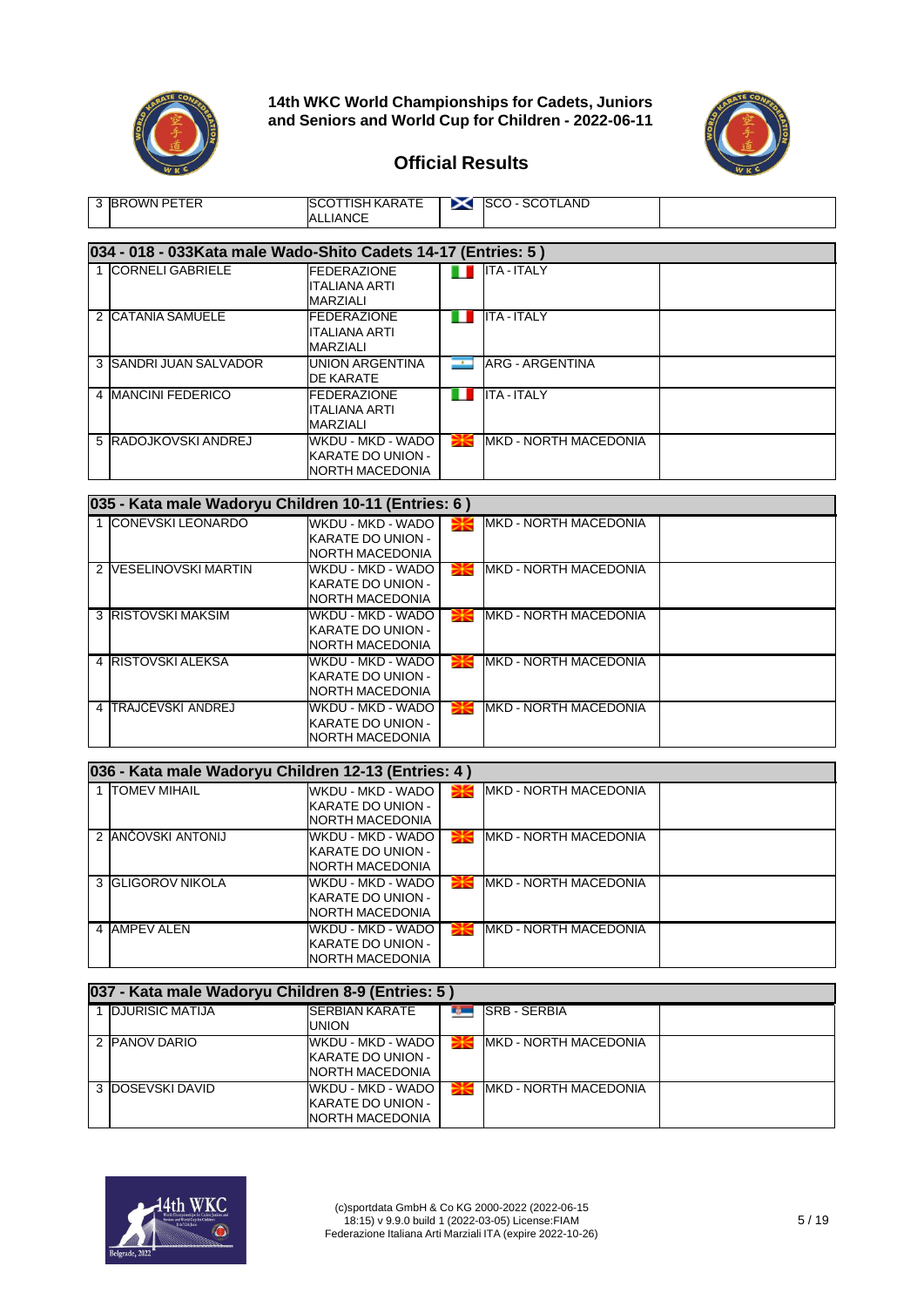



| 3 BROWN PETER                                                  | SCOTTISH KARATE<br>ALLIANCE                                       |              | SCO-SCOTLAND           |  |  |  |  |  |
|----------------------------------------------------------------|-------------------------------------------------------------------|--------------|------------------------|--|--|--|--|--|
| 034 - 018 - 033 Kata male Wado-Shito Cadets 14-17 (Entries: 5) |                                                                   |              |                        |  |  |  |  |  |
| 1 CORNELI GABRIELE                                             | <b>FEDERAZIONE</b><br>IITALIANA ARTI<br><b>MARZIALI</b>           |              | <b>ITA - ITALY</b>     |  |  |  |  |  |
| 2 ICATANIA SAMUELE                                             | <b>FEDERAZIONE</b><br>ITALIANA ARTI<br>MARZIALI                   | . .          | <b>ITA - ITALY</b>     |  |  |  |  |  |
| 3 SANDRI JUAN SALVADOR                                         | <b>UNION ARGENTINA</b><br>DE KARATE                               | $\mathbf{r}$ | <b>ARG - ARGENTINA</b> |  |  |  |  |  |
| 4 IMANCINI FEDERICO                                            | <b>FEDERAZIONE</b><br>ITALIANA ARTI<br>MARZIALI                   | . .          | <b>ITA - ITALY</b>     |  |  |  |  |  |
| 5 RADOJKOVSKI ANDREJ                                           | WKDU - MKD - WADO<br>KARATE DO UNION -<br><b>INORTH MACEDONIA</b> |              | MKD - NORTH MACEDONIA  |  |  |  |  |  |

| 035 - Kata male Wadoryu Children 10-11 (Entries: 6) |                                                                   |   |                               |  |  |  |  |  |
|-----------------------------------------------------|-------------------------------------------------------------------|---|-------------------------------|--|--|--|--|--|
| 1 CONEVSKI LEONARDO                                 | WKDU - MKD - WADO<br>KARATE DO UNION -<br><b>INORTH MACEDONIA</b> |   | <b>IMKD - NORTH MACEDONIA</b> |  |  |  |  |  |
| 2 IVESELINOVSKI MARTIN                              | WKDU - MKD - WADO<br>KARATE DO UNION -<br>INORTH MACEDONIA        |   | <b>IMKD - NORTH MACEDONIA</b> |  |  |  |  |  |
| 3 RISTOVSKI MAKSIM                                  | WKDU - MKD - WADO<br>KARATE DO UNION -<br><b>NORTH MACEDONIA</b>  |   | <b>IMKD - NORTH MACEDONIA</b> |  |  |  |  |  |
| 4 RISTOVSKI ALEKSA                                  | WKDU - MKD - WADO<br>KARATE DO UNION -<br><b>NORTH MACEDONIA</b>  |   | MKD - NORTH MACEDONIA         |  |  |  |  |  |
| 4 TRAJČEVSKI ANDREJ                                 | WKDU - MKD - WADO<br>KARATE DO UNION -<br><b>INORTH MACEDONIA</b> | ≢ | MKD - NORTH MACEDONIA         |  |  |  |  |  |

| 036 - Kata male Wadoryu Children 12-13 (Entries: 4) |                                                                   |  |                               |  |  |  |  |
|-----------------------------------------------------|-------------------------------------------------------------------|--|-------------------------------|--|--|--|--|
| <b>TOMEV MIHAIL</b>                                 | WKDU - MKD - WADO<br>KARATE DO UNION -<br><b>INORTH MACEDONIA</b> |  | <b>IMKD - NORTH MACEDONIA</b> |  |  |  |  |
| 2 ANCOVSKI ANTONIJ                                  | WKDU - MKD - WADO<br>KARATE DO UNION -<br>NORTH MACEDONIA         |  | <b>IMKD - NORTH MACEDONIA</b> |  |  |  |  |
| 3 GLIGOROV NIKOLA                                   | WKDU - MKD - WADO<br>KARATE DO UNION -<br>NORTH MACEDONIA         |  | <b>IMKD - NORTH MACEDONIA</b> |  |  |  |  |
| 4 AMPEV ALEN                                        | WKDU - MKD - WADO<br>KARATE DO UNION -<br>NORTH MACEDONIA         |  | <b>IMKD - NORTH MACEDONIA</b> |  |  |  |  |

| 037 - Kata male Wadoryu Children 8-9 (Entries: 5) |                                                                     |    |                       |  |  |  |  |  |
|---------------------------------------------------|---------------------------------------------------------------------|----|-----------------------|--|--|--|--|--|
| 1 DJURISIC MATIJA                                 | <b>SERBIAN KARATE</b><br>UNION                                      | n, | <b>SRB - SERBIA</b>   |  |  |  |  |  |
| 2 PANOV DARIO                                     | WKDU - MKD - WADO  <br>KARATE DO UNION -<br><b>INORTH MACEDONIA</b> |    | MKD - NORTH MACEDONIA |  |  |  |  |  |
| 3 DOSEVSKI DAVID                                  | WKDU - MKD - WADO  <br>KARATE DO UNION -<br>NORTH MACEDONIA         |    | MKD - NORTH MACEDONIA |  |  |  |  |  |

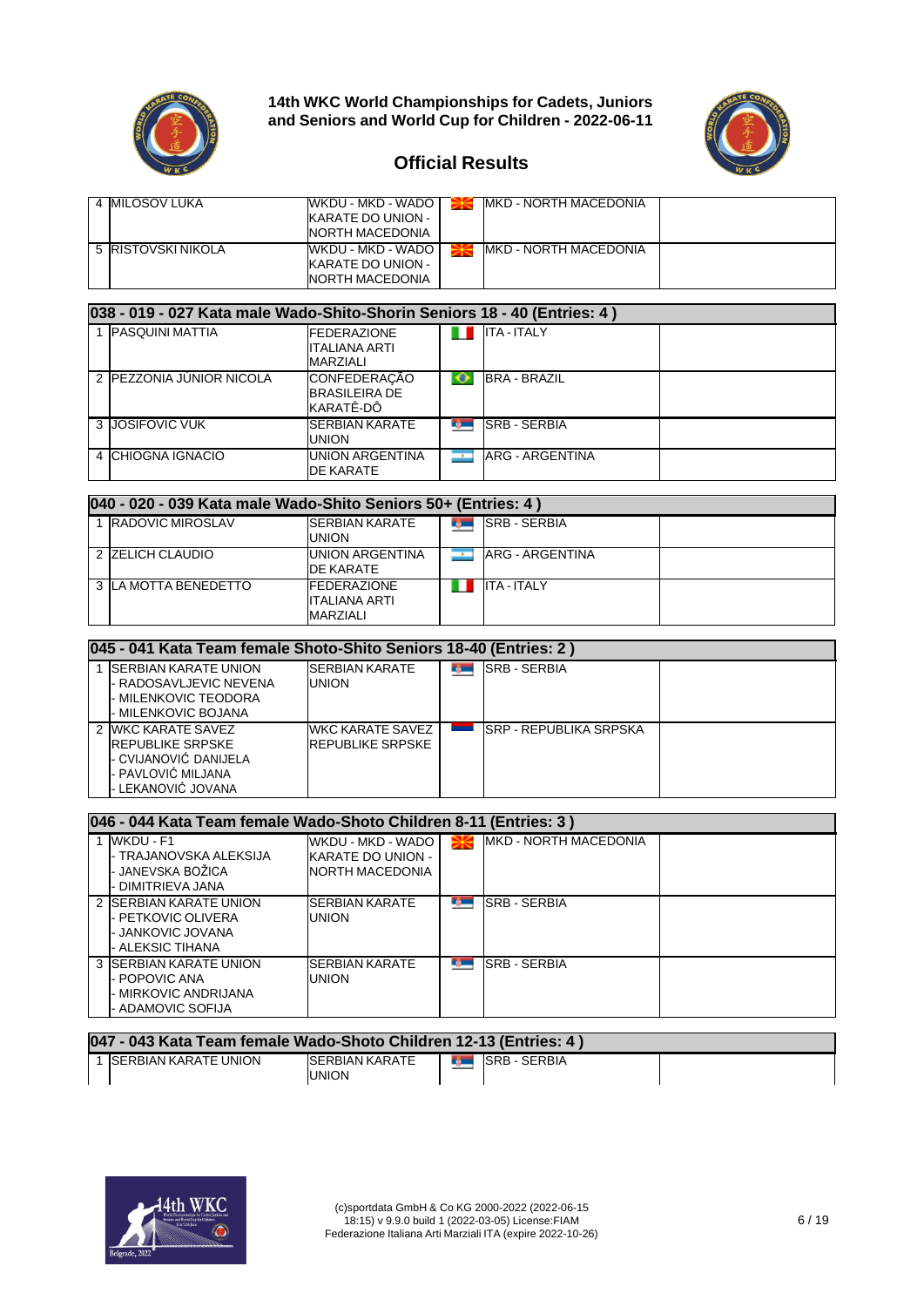



#### **Official Results**

| 4 <b>I</b> MILOSOV LUKA | WKDU - MKD - WADO I<br><b>KARATE DO UNION -</b><br><b>NORTH MACEDONIA</b> | MKD - NORTH MACEDONIA         |  |
|-------------------------|---------------------------------------------------------------------------|-------------------------------|--|
| 5 RISTOVSKI NIKOLA      | WKDU - MKD - WADO I<br>KARATE DO UNION -<br>NORTH MACEDONIA               | <b>IMKD - NORTH MACEDONIA</b> |  |

#### **038 - 019 - 027 Kata male Wado-Shito-Shorin Seniors 18 - 40 (Entries: 4 )** 1 PASQUINI MATTIA **FEDERAZIONE** n F ITA - ITALY ITALIANA ARTI MARZIALI<br>CONFEDERAÇÃO 2 PEZZONIA JÚNIOR NICOLA  $\bullet$ BRA - BRAZIL BRASILEIRA DE KARATÊ-DÔ 3 JOSIFOVIC VUK SERBIAN KARATE **Reco SRB - SERBIA** UNION<br>UNION ARGENTINA ARG - ARGENTINA 4 CHIOGNA IGNACIO H DE KARATE

| 040 - 020 - 039 Kata male Wado-Shito Seniors 50+ (Entries: 4) |                                                         |  |                     |  |  |  |  |  |
|---------------------------------------------------------------|---------------------------------------------------------|--|---------------------|--|--|--|--|--|
| RADOVIC MIROSLAV                                              | <b>ISERBIAN KARATE</b><br>union                         |  | <b>SRB - SERBIA</b> |  |  |  |  |  |
| 2 ZELICH CLAUDIO                                              | <b>UNION ARGENTINA</b><br>DE KARATE                     |  | ARG - ARGENTINA     |  |  |  |  |  |
| 3 ILA MOTTA BENEDETTO                                         | <b>IFEDERAZIONE</b><br>ITALIANA ARTI<br><b>MARZIALI</b> |  | <b>ITA - ITALY</b>  |  |  |  |  |  |

| 045 - 041 Kata Team female Shoto-Shito Seniors 18-40 (Entries: 2)                                                   |                                                    |  |                                |  |  |  |  |  |
|---------------------------------------------------------------------------------------------------------------------|----------------------------------------------------|--|--------------------------------|--|--|--|--|--|
| <b>ISERBIAN KARATE UNION</b><br>- RADOSAVLJEVIC NEVENA<br>- MILENKOVIC TEODORA<br>- MILENKOVIC BOJANA               | <b>SERBIAN KARATE</b><br>UNION                     |  | <b>SRB - SERBIA</b>            |  |  |  |  |  |
| 2 WKC KARATE SAVEZ<br><b>IREPUBLIKE SRPSKE</b><br>- CVIJANOVIĆ DANIJELA<br>- PAVLOVIĆ MILJANA<br>- LEKANOVIĆ JOVANA | <b>WKC KARATE SAVEZ</b><br><b>REPUBLIKE SRPSKE</b> |  | <b>ISRP - REPUBLIKA SRPSKA</b> |  |  |  |  |  |

| 046 - 044 Kata Team female Wado-Shoto Children 8-11 (Entries: 3)                       |                                                                   |                    |                               |  |  |  |  |  |
|----------------------------------------------------------------------------------------|-------------------------------------------------------------------|--------------------|-------------------------------|--|--|--|--|--|
| 1 WKDU - F1<br>- TRAJANOVSKA ALEKSIJA<br>- JANEVSKA BOŽICA<br>- DIMITRIEVA JANA        | WKDU - MKD - WADO<br>KARATE DO UNION -<br><b>INORTH MACEDONIA</b> |                    | <b>IMKD - NORTH MACEDONIA</b> |  |  |  |  |  |
| 2 ISERBIAN KARATE UNION<br>- PETKOVIC OLIVERA<br>- JANKOVIC JOVANA<br>- ALEKSIC TIHANA | <b>SERBIAN KARATE</b><br><b>UNION</b>                             | <b>REGISTER</b>    | <b>SRB-SERBIA</b>             |  |  |  |  |  |
| 3 ISERBIAN KARATE UNION<br>- POPOVIC ANA<br>- MIRKOVIC ANDRIJANA<br>- ADAMOVIC SOFIJA  | <b>SERBIAN KARATE</b><br><b>UNION</b>                             | <b>The Company</b> | <b>SRB-SERBIA</b>             |  |  |  |  |  |

| 047 - 043 Kata Team female Wado-Shoto Children 12-13 (Entries: 4) |                                        |  |                        |  |  |  |  |
|-------------------------------------------------------------------|----------------------------------------|--|------------------------|--|--|--|--|
| ISERBIAN KARATE UNION                                             | <b>ISERBIAN KARATE</b><br><b>UNION</b> |  | <b>THE ISRB-SERBIA</b> |  |  |  |  |

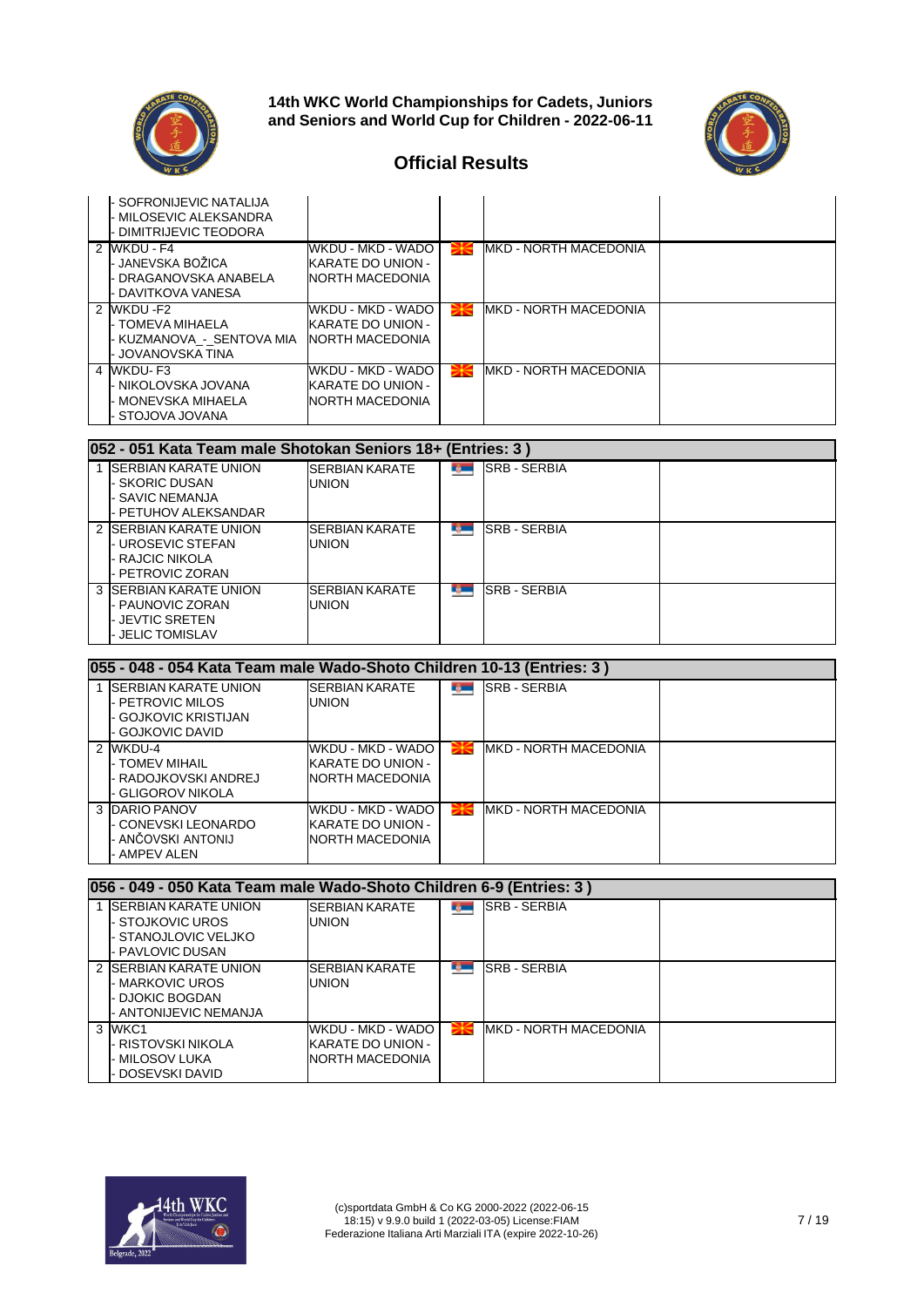



| SOFRONIJEVIC NATALIJA<br>MILOSEVIC ALEKSANDRA<br>DIMITRIJEVIC TEODORA       |                                                            |                               |  |
|-----------------------------------------------------------------------------|------------------------------------------------------------|-------------------------------|--|
| 2 WKDU - F4<br>∙ JANEVSKA BOŽICA<br>DRAGANOVSKA ANABELA<br>DAVITKOVA VANESA | WKDU - MKD - WADO<br>KARATE DO UNION -<br>NORTH MACEDONIA  | <b>MKD - NORTH MACEDONIA</b>  |  |
| 2 WKDU F2<br>TOMEVA MIHAELA<br>- KUZMANOVA - SENTOVA MIA<br>JOVANOVSKA TINA | WKDU - MKD - WADO<br>KARATE DO UNION -<br>INORTH MACEDONIA | MKD - NORTH MACEDONIA         |  |
| 4 WKDU-F3<br>- NIKOLOVSKA JOVANA<br>MONEVSKA MIHAELA<br>STOJOVA JOVANA      | WKDU - MKD - WADO<br>KARATE DO UNION -<br>NORTH MACEDONIA  | <b>IMKD - NORTH MACEDONIA</b> |  |

| 052 - 051 Kata Team male Shotokan Seniors 18+ (Entries: 3)                                     |                                |                 |                      |  |  |  |  |  |
|------------------------------------------------------------------------------------------------|--------------------------------|-----------------|----------------------|--|--|--|--|--|
| <b>ISERBIAN KARATE UNION</b><br><b>SKORIC DUSAN</b><br>- SAVIC NEMANJA<br>- PETUHOV ALEKSANDAR | <b>SERBIAN KARATE</b><br>UNION | <b>DO</b>       | <b>ISRB - SERBIA</b> |  |  |  |  |  |
| 2 ISERBIAN KARATE UNION<br>- UROSEVIC STEFAN<br>- RAJCIC NIKOLA<br>- PETROVIC ZORAN            | <b>SERBIAN KARATE</b><br>union | <b>REGISTER</b> | <b>ISRB - SERBIA</b> |  |  |  |  |  |
| 3 ISERBIAN KARATE UNION<br>- PAUNOVIC ZORAN<br>- JEVTIC SRETEN<br><b>JELIC TOMISLAV</b>        | <b>SERBIAN KARATE</b><br>union | <b>Table</b>    | <b>ISRB - SERBIA</b> |  |  |  |  |  |

| 055 - 048 - 054 Kata Team male Wado-Shoto Children 10-13 (Entries: 3 )                       |                                                           |     |                               |  |  |  |  |  |
|----------------------------------------------------------------------------------------------|-----------------------------------------------------------|-----|-------------------------------|--|--|--|--|--|
| <b>ISERBIAN KARATE UNION</b><br>- PETROVIC MILOS<br>- GOJKOVIC KRISTIJAN<br>- GOJKOVIC DAVID | <b>SERBIAN KARATE</b><br>UNION                            | m n | <b>SRB - SERBIA</b>           |  |  |  |  |  |
| 2 WKDU-4<br>I- TOMEV MIHAIL<br>- RADOJKOVSKI ANDREJ<br>- GLIGOROV NIKOLA                     | WKDU - MKD - WADO<br>KARATE DO UNION -<br>NORTH MACEDONIA |     | <b>IMKD - NORTH MACEDONIA</b> |  |  |  |  |  |
| 3 DARIO PANOV<br>- CONEVSKI LEONARDO<br>- ANČOVSKI ANTONIJ<br>- AMPEV ALEN                   | WKDU - MKD - WADO<br>KARATE DO UNION -<br>NORTH MACEDONIA |     | <b>IMKD - NORTH MACEDONIA</b> |  |  |  |  |  |

| 056 - 049 - 050 Kata Team male Wado-Shoto Children 6-9 (Entries: 3)                          |                                                                  |               |                               |  |  |  |  |
|----------------------------------------------------------------------------------------------|------------------------------------------------------------------|---------------|-------------------------------|--|--|--|--|
| <b>ISERBIAN KARATE UNION</b><br>- STOJKOVIC UROS<br>- STANOJLOVIC VELJKO<br>- PAVLOVIC DUSAN | <b>SERBIAN KARATE</b><br><b>UNION</b>                            |               | <b>SRB - SERBIA</b>           |  |  |  |  |
| 2 ISERBIAN KARATE UNION<br>- MARKOVIC UROS<br>- DJOKIC BOGDAN<br>- ANTONIJEVIC NEMANJA       | <b>SERBIAN KARATE</b><br><b>UNION</b>                            | <b>READER</b> | <b>SRB-SERBIA</b>             |  |  |  |  |
| 3 WKC1<br>- RISTOVSKI NIKOLA<br>- MILOSOV LUKA<br>DOSEVSKI DAVID                             | WKDU - MKD - WADO<br>KARATE DO UNION -<br><b>NORTH MACEDONIA</b> |               | <b>IMKD - NORTH MACEDONIA</b> |  |  |  |  |

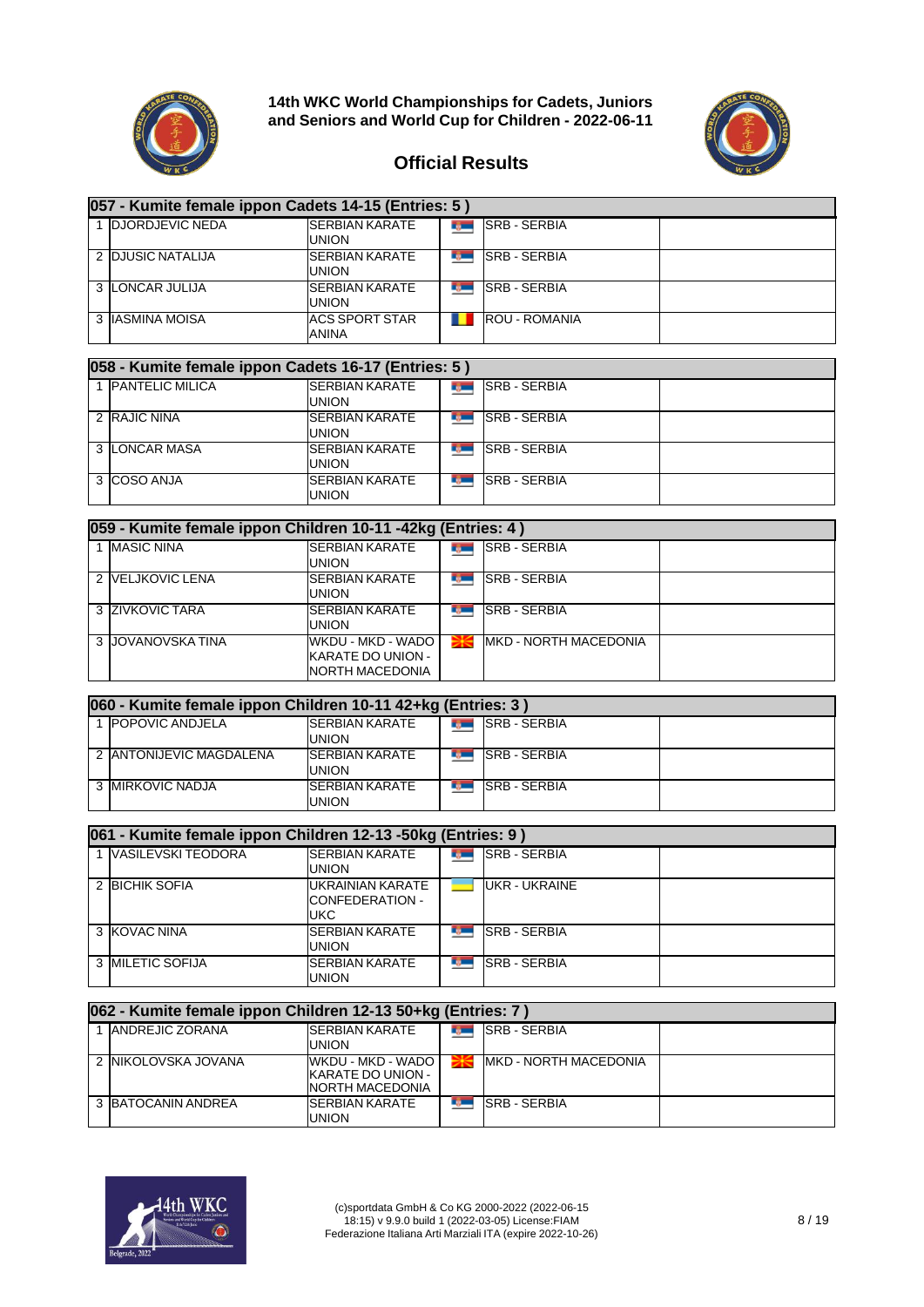



| 057 - Kumite female ippon Cadets 14-15 (Entries: 5) |                                |  |                      |  |  |  |  |  |
|-----------------------------------------------------|--------------------------------|--|----------------------|--|--|--|--|--|
| <b>DJORDJEVIC NEDA</b>                              | <b>SERBIAN KARATE</b><br>UNION |  | <b>SRB - SERBIA</b>  |  |  |  |  |  |
| 2 DJUSIC NATALIJA                                   | <b>SERBIAN KARATE</b><br>UNION |  | <b>SRB - SERBIA</b>  |  |  |  |  |  |
| 3 LONCAR JULIJA                                     | <b>SERBIAN KARATE</b><br>UNION |  | <b>SRB - SERBIA</b>  |  |  |  |  |  |
| 3 IIASMINA MOISA                                    | <b>ACS SPORT STAR</b><br>ANINA |  | <b>ROU - ROMANIA</b> |  |  |  |  |  |

| 058 - Kumite female ippon Cadets 16-17 (Entries: 5) |                                       |  |                     |  |  |  |  |  |
|-----------------------------------------------------|---------------------------------------|--|---------------------|--|--|--|--|--|
| 1 PANTELIC MILICA                                   | <b>SERBIAN KARATE</b><br><b>UNION</b> |  | <b>SRB-SERBIA</b>   |  |  |  |  |  |
| 2 RAJIC NINA                                        | <b>SERBIAN KARATE</b><br><b>UNION</b> |  | <b>SRB - SERBIA</b> |  |  |  |  |  |
| 3 LONCAR MASA                                       | <b>SERBIAN KARATE</b><br><b>UNION</b> |  | <b>SRB - SERBIA</b> |  |  |  |  |  |
| 3 COSO ANJA                                         | <b>SERBIAN KARATE</b><br><b>UNION</b> |  | <b>SRB - SERBIA</b> |  |  |  |  |  |

| 059 - Kumite female ippon Children 10-11 -42kg (Entries: 4) |                                                           |            |                               |  |  |  |  |  |
|-------------------------------------------------------------|-----------------------------------------------------------|------------|-------------------------------|--|--|--|--|--|
| 1 MASIC NINA                                                | <b>SERBIAN KARATE</b><br><b>UNION</b>                     | <b>DOC</b> | <b>SRB - SERBIA</b>           |  |  |  |  |  |
| 2 VELJKOVIC LENA                                            | <b>SERBIAN KARATE</b><br>UNION                            |            | <b>SRB - SERBIA</b>           |  |  |  |  |  |
| 3 ZIVKOVIC TARA                                             | <b>SERBIAN KARATE</b><br><b>UNION</b>                     |            | <b>SRB - SERBIA</b>           |  |  |  |  |  |
| 3 JJOVANOVSKA TINA                                          | WKDU - MKD - WADO<br>KARATE DO UNION -<br>NORTH MACEDONIA |            | <b>IMKD - NORTH MACEDONIA</b> |  |  |  |  |  |

| 060 - Kumite female ippon Children 10-11 42+kg (Entries: 3) |                                        |                       |                     |  |  |  |  |
|-------------------------------------------------------------|----------------------------------------|-----------------------|---------------------|--|--|--|--|
| 1 <b>IPOPOVIC ANDJELA</b>                                   | <b>ISERBIAN KARATE</b><br><b>UNION</b> | <b>To The Theorem</b> | <b>SRB - SERBIA</b> |  |  |  |  |
| 2 ANTONIJEVIC MAGDALENA                                     | <b>SERBIAN KARATE</b><br>UNION         |                       | <b>SRB - SERBIA</b> |  |  |  |  |
| 3 MIRKOVIC NADJA                                            | <b>ISERBIAN KARATE</b><br>UNION        |                       | <b>SRB - SERBIA</b> |  |  |  |  |

| 061 - Kumite female ippon Children 12-13 -50kg (Entries: 9) |                                            |  |                      |  |  |  |  |  |
|-------------------------------------------------------------|--------------------------------------------|--|----------------------|--|--|--|--|--|
| <b>VASILEVSKI TEODORA</b>                                   | <b>SERBIAN KARATE</b><br>union             |  | <b>SRB - SERBIA</b>  |  |  |  |  |  |
| 2 BICHIK SOFIA                                              | UKRAINIAN KARATE<br>CONFEDERATION -<br>UKC |  | <b>UKR - UKRAINE</b> |  |  |  |  |  |
| 3 KOVAC NINA                                                | <b>SERBIAN KARATE</b><br>union             |  | <b>SRB - SERBIA</b>  |  |  |  |  |  |
| 3 <b>IMILETIC SOFIJA</b>                                    | <b>SERBIAN KARATE</b><br>union             |  | <b>SRB-SERBIA</b>    |  |  |  |  |  |

| 062 - Kumite female ippon Children 12-13 50+kg (Entries: 7) |                                                             |  |                               |  |  |  |  |  |
|-------------------------------------------------------------|-------------------------------------------------------------|--|-------------------------------|--|--|--|--|--|
| <b>ANDREJIC ZORANA</b>                                      | <b>SERBIAN KARATE</b><br>union                              |  | <b>SRB - SERBIA</b>           |  |  |  |  |  |
| 2 INIKOLOVSKA JOVANA                                        | WKDU - MKD - WADO  <br>KARATE DO UNION -<br>NORTH MACEDONIA |  | <b>IMKD - NORTH MACEDONIA</b> |  |  |  |  |  |
| 3 BATOCANIN ANDREA                                          | <b>SERBIAN KARATE</b><br>JNION                              |  | <b>SRB - SERBIA</b>           |  |  |  |  |  |

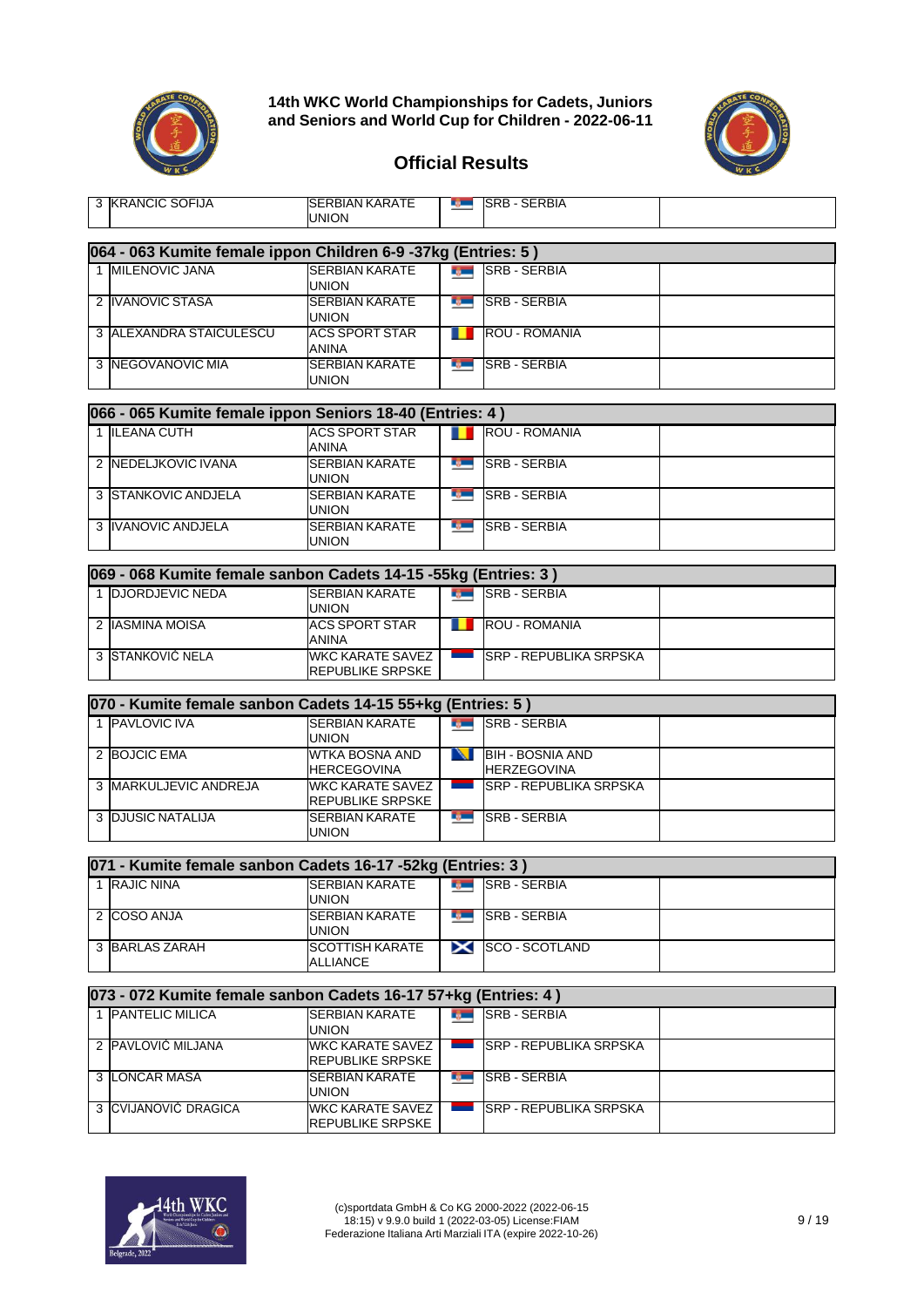



#### **Official Results**

| 3 KRANCIC SOFIJA                                               | ISERBIAN KARATE<br><b>UNION</b>             |                          | <b>BULLER SERBIA</b>                          |  |
|----------------------------------------------------------------|---------------------------------------------|--------------------------|-----------------------------------------------|--|
| 064 - 063 Kumite female ippon Children 6-9 -37kg (Entries: 5)  |                                             |                          |                                               |  |
| 1 MILENOVIC JANA                                               | <b>SERBIAN KARATE</b>                       |                          | <b>SRB - SERBIA</b>                           |  |
|                                                                | <b>UNION</b>                                |                          |                                               |  |
| 2 IVANOVIC STASA                                               | <b>SERBIAN KARATE</b>                       |                          | <b>MEDISRB-SERBIA</b>                         |  |
|                                                                | <b>UNION</b>                                |                          |                                               |  |
| 3 ALEXANDRA STAICULESCU                                        | <b>ACS SPORT STAR</b><br><b>ANINA</b>       |                          | <b>ROU - ROMANIA</b>                          |  |
| 3 NEGOVANOVIC MIA                                              | <b>SERBIAN KARATE</b><br>UNION              |                          | <b>SRB-SERBIA</b>                             |  |
| 066 - 065 Kumite female ippon Seniors 18-40 (Entries: 4)       |                                             |                          |                                               |  |
| 1 ILEANA CUTH                                                  | <b>ACS SPORT STAR</b>                       |                          | <b>ROU - ROMANIA</b>                          |  |
|                                                                | <b>ANINA</b>                                |                          |                                               |  |
| 2 NEDELJKOVIC IVANA                                            | <b>SERBIAN KARATE</b><br><b>UNION</b>       | r juni                   | <b>SRB - SERBIA</b>                           |  |
| 3 STANKOVIC ANDJELA                                            | <b>SERBIAN KARATE</b><br><b>UNION</b>       | <b>By British</b>        | <b>SRB - SERBIA</b>                           |  |
| 3 IVANOVIC ANDJELA                                             | <b>SERBIAN KARATE</b><br><b>UNION</b>       | <b>B</b>                 | <b>SRB - SERBIA</b>                           |  |
|                                                                |                                             |                          |                                               |  |
| 069 - 068 Kumite female sanbon Cadets 14-15 -55kg (Entries: 3) |                                             |                          |                                               |  |
| 1 DJORDJEVIC NEDA                                              | <b>SERBIAN KARATE</b><br><b>UNION</b>       | <b>Ryme</b>              | <b>SRB - SERBIA</b>                           |  |
| 2 IASMINA MOISA                                                | <b>ACS SPORT STAR</b><br><b>ANINA</b>       |                          | <b>ROU - ROMANIA</b>                          |  |
| 3 STANKOVIĆ NELA                                               | <b>WKC KARATE SAVEZ</b><br>REPUBLIKE SRPSKE | <b>Contract Contract</b> | <b>SRP - REPUBLIKA SRPSKA</b>                 |  |
|                                                                |                                             |                          |                                               |  |
| 070 - Kumite female sanbon Cadets 14-15 55+kg (Entries: 5)     |                                             |                          |                                               |  |
| 1 PAVLOVIC IVA                                                 | <b>SERBIAN KARATE</b><br><b>UNION</b>       |                          | <b>BULL</b> SRB - SERBIA                      |  |
| 2 BOJCIC EMA                                                   | <b>WTKA BOSNA AND</b><br><b>HERCEGOVINA</b> | N                        | <b>BIH - BOSNIA AND</b><br><b>HERZEGOVINA</b> |  |
| 3 MARKULJEVIC ANDREJA                                          | WKC KARATE SAVEZ<br>REPUBLIKE SRPSKE        | <u>in the se</u>         | <b>SRP - REPUBLIKA SRPSKA</b>                 |  |
| <b>3 DJUSIC NATALIJA</b>                                       | <b>SERBIAN KARATE</b><br><b>UNION</b>       | r gan                    | <b>SRB - SERBIA</b>                           |  |
|                                                                |                                             |                          |                                               |  |
| 071 - Kumite female sanbon Cadets 16-17 -52kg (Entries: 3)     |                                             |                          |                                               |  |
| 1 RAJIC NINA                                                   | <b>SERBIAN KARATE</b><br>UNION              |                          | <b>SRB-SERBIA</b>                             |  |
| 2 COSO ANJA                                                    | <b>SERBIAN KARATE</b><br>UNION              | ng m                     | <b>SRB - SERBIA</b>                           |  |
| 3 BARLAS ZARAH                                                 | <b>SCOTTISH KARATE</b><br><b>ALLIANCE</b>   | $\boldsymbol{\times}$    | <b>SCO - SCOTLAND</b>                         |  |
| 073 - 072 Kumite female sanbon Cadets 16-17 57+kg (Entries: 4) |                                             |                          |                                               |  |
| 1 PANTELIC MILICA                                              | <b>SERBIAN KARATE</b>                       | <b>Rym</b>               | <b>SRB - SERBIA</b>                           |  |
|                                                                | <b>UNION</b>                                |                          |                                               |  |
| 2 PAVLOVIĆ MILJANA                                             | <b>WKC KARATE SAVEZ</b><br>REPUBLIKE SRPSKE |                          | <b>SRP - REPUBLIKA SRPSKA</b>                 |  |



3 LONCAR MASA SERBIAN KARATE

3 CVIJANOVIĆ DRAGICA WKC KARATE SAVEZ

UNION

REPUBLIKE SRPSKE

t juristic

SRB - SERBIA

SRP - REPUBLIKA SRPSKA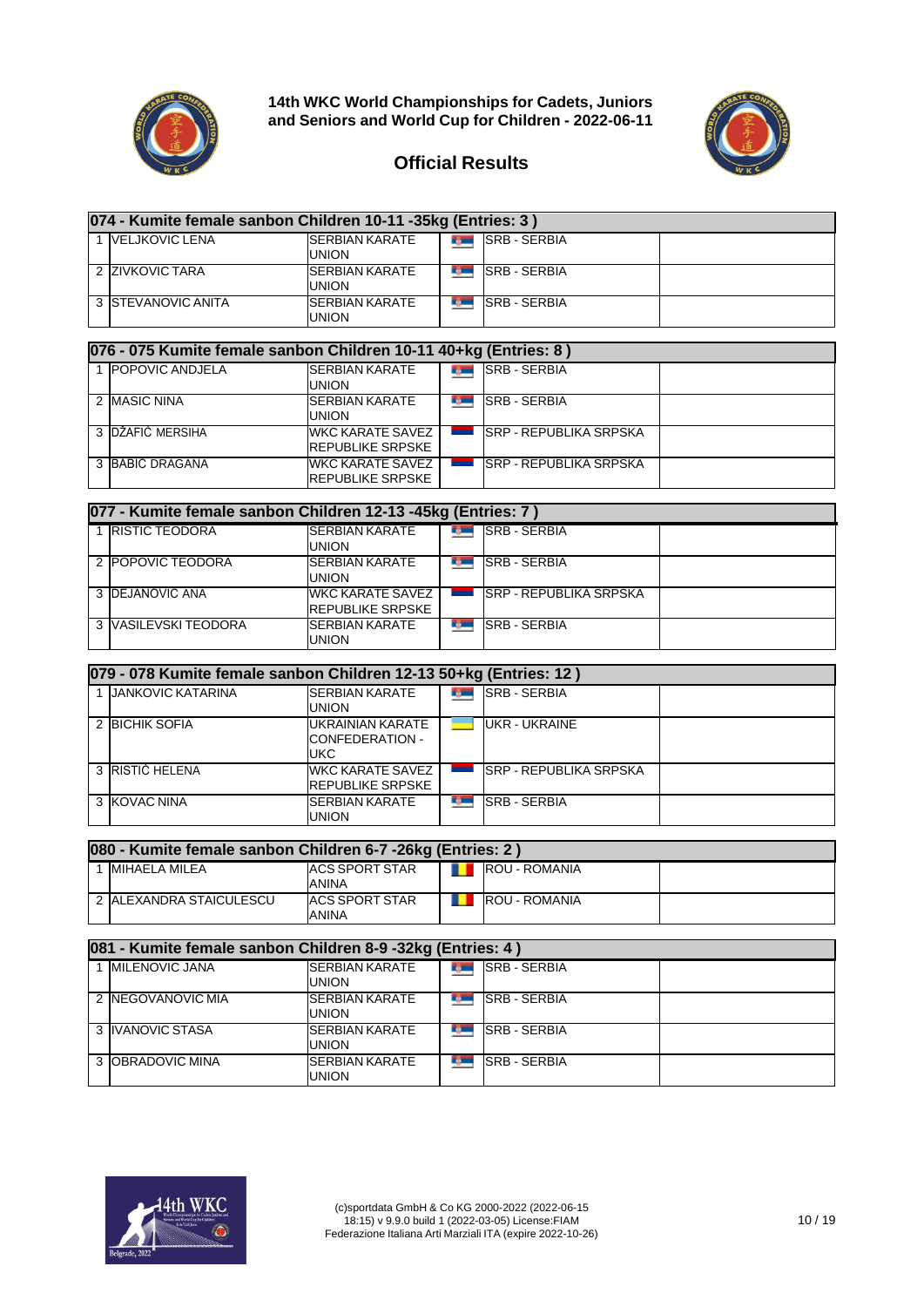



| 074 - Kumite female sanbon Children 10-11 -35kg (Entries: 3) |                                        |                |                     |  |  |  |  |
|--------------------------------------------------------------|----------------------------------------|----------------|---------------------|--|--|--|--|
| 1 VELJKOVIC LENA                                             | <b>SERBIAN KARATE</b><br><b>UNION</b>  | <b>Service</b> | <b>SRB - SERBIA</b> |  |  |  |  |
| 2 ZIVKOVIC TARA                                              | <b>ISERBIAN KARATE</b><br><b>UNION</b> |                | <b>SRB - SERBIA</b> |  |  |  |  |
| 3 <b>STEVANOVIC ANITA</b>                                    | <b>SERBIAN KARATE</b><br>UNION         |                | <b>SRB - SERBIA</b> |  |  |  |  |

| 076 - 075 Kumite female sanbon Children 10-11 40+kg (Entries: 8) |                                        |               |                            |  |  |  |  |  |  |
|------------------------------------------------------------------|----------------------------------------|---------------|----------------------------|--|--|--|--|--|--|
| 1 <b>IPOPOVIC ANDJELA</b>                                        | <b>ISERBIAN KARATE</b><br><b>UNION</b> |               | <b>EXAMPLE ISRB-SERBIA</b> |  |  |  |  |  |  |
| 2 MASIC NINA                                                     | <b>ISERBIAN KARATE</b>                 | <b>TABLES</b> | <b>SRB - SERBIA</b>        |  |  |  |  |  |  |

|                   | ייטוייטו                 |      |                         |  |
|-------------------|--------------------------|------|-------------------------|--|
| 2 IMASIC NINA     | <b>ISERBIAN KARATE</b>   | ng m | <b>ISRB - SERBIA</b>    |  |
|                   | union                    |      |                         |  |
| 3 IDŽAFIĆ MERSIHA | <b>IWKC KARATE SAVEZ</b> |      | ISRP - REPUBLIKA SRPSKA |  |
|                   | <b>IREPUBLIKE SRPSKE</b> |      |                         |  |
| 3 BABIC DRAGANA   | WKC KARATE SAVEZ         |      | ISRP - REPUBLIKA SRPSKA |  |
|                   | <b>IREPUBLIKE SRPSKE</b> |      |                         |  |

| 077 - Kumite female sanbon Children 12-13 -45kg (Entries: 7) |                                             |            |                                |  |  |  |  |  |
|--------------------------------------------------------------|---------------------------------------------|------------|--------------------------------|--|--|--|--|--|
| 1 <b>RISTIC TEODORA</b>                                      | <b>SERBIAN KARATE</b><br>union              | <b>TAX</b> | <b>SRB - SERBIA</b>            |  |  |  |  |  |
| 2 POPOVIC TEODORA                                            | <b>SERBIAN KARATE</b><br>union              |            | <b>SRB - SERBIA</b>            |  |  |  |  |  |
| 3 DEJANOVIĆ ANA                                              | WKC KARATE SAVEZ<br><b>REPUBLIKE SRPSKE</b> |            | <b>ISRP - REPUBLIKA SRPSKA</b> |  |  |  |  |  |
| 3 VASILEVSKI TEODORA                                         | <b>SERBIAN KARATE</b><br>union              |            | <b>SRB - SERBIA</b>            |  |  |  |  |  |

| 079 - 078 Kumite female sanbon Children 12-13 50+kg (Entries: 12) |                                                    |  |                               |  |  |  |  |  |
|-------------------------------------------------------------------|----------------------------------------------------|--|-------------------------------|--|--|--|--|--|
| 1 JANKOVIC KATARINA                                               | <b>SERBIAN KARATE</b><br>UNION                     |  | <b>SRB - SERBIA</b>           |  |  |  |  |  |
| 2 BICHIK SOFIA                                                    | UKRAINIAN KARATE<br>CONFEDERATION -<br>UKC         |  | <b>UKR - UKRAINE</b>          |  |  |  |  |  |
| 3 RISTIĆ HELENA                                                   | <b>WKC KARATE SAVEZ</b><br><b>REPUBLIKE SRPSKE</b> |  | <b>SRP - REPUBLIKA SRPSKA</b> |  |  |  |  |  |
| 3 KOVAC NINA                                                      | <b>SERBIAN KARATE</b><br>UNION                     |  | <b>SRB - SERBIA</b>           |  |  |  |  |  |

| 080 - Kumite female sanbon Children 6-7 -26kg (Entries: 2) |                                |  |                      |  |  |  |  |  |
|------------------------------------------------------------|--------------------------------|--|----------------------|--|--|--|--|--|
| <b>IMIHAELA MILEA</b>                                      | ACS SPORT STAR<br>ANINA        |  | <b>ROU - ROMANIA</b> |  |  |  |  |  |
| 2 ALEXANDRA STAICULESCU                                    | <b>ACS SPORT STAR</b><br>ANINA |  | <b>ROU - ROMANIA</b> |  |  |  |  |  |

| 081 - Kumite female sanbon Children 8-9 -32kg (Entries: 4) |                                       |     |                     |  |  |  |  |  |
|------------------------------------------------------------|---------------------------------------|-----|---------------------|--|--|--|--|--|
| 1 <b>IMILENOVIC JANA</b>                                   | <b>SERBIAN KARATE</b><br><b>UNION</b> | Dø. | <b>SRB - SERBIA</b> |  |  |  |  |  |
| 2 <b>INEGOVANOVIC MIA</b>                                  | <b>SERBIAN KARATE</b><br>union        |     | <b>SRB - SERBIA</b> |  |  |  |  |  |
| 3 IVANOVIC STASA                                           | <b>SERBIAN KARATE</b><br>union        |     | <b>SRB - SERBIA</b> |  |  |  |  |  |
| 3 <b>JOBRADOVIC MINA</b>                                   | <b>SERBIAN KARATE</b><br>UNION        |     | <b>SRB - SERBIA</b> |  |  |  |  |  |

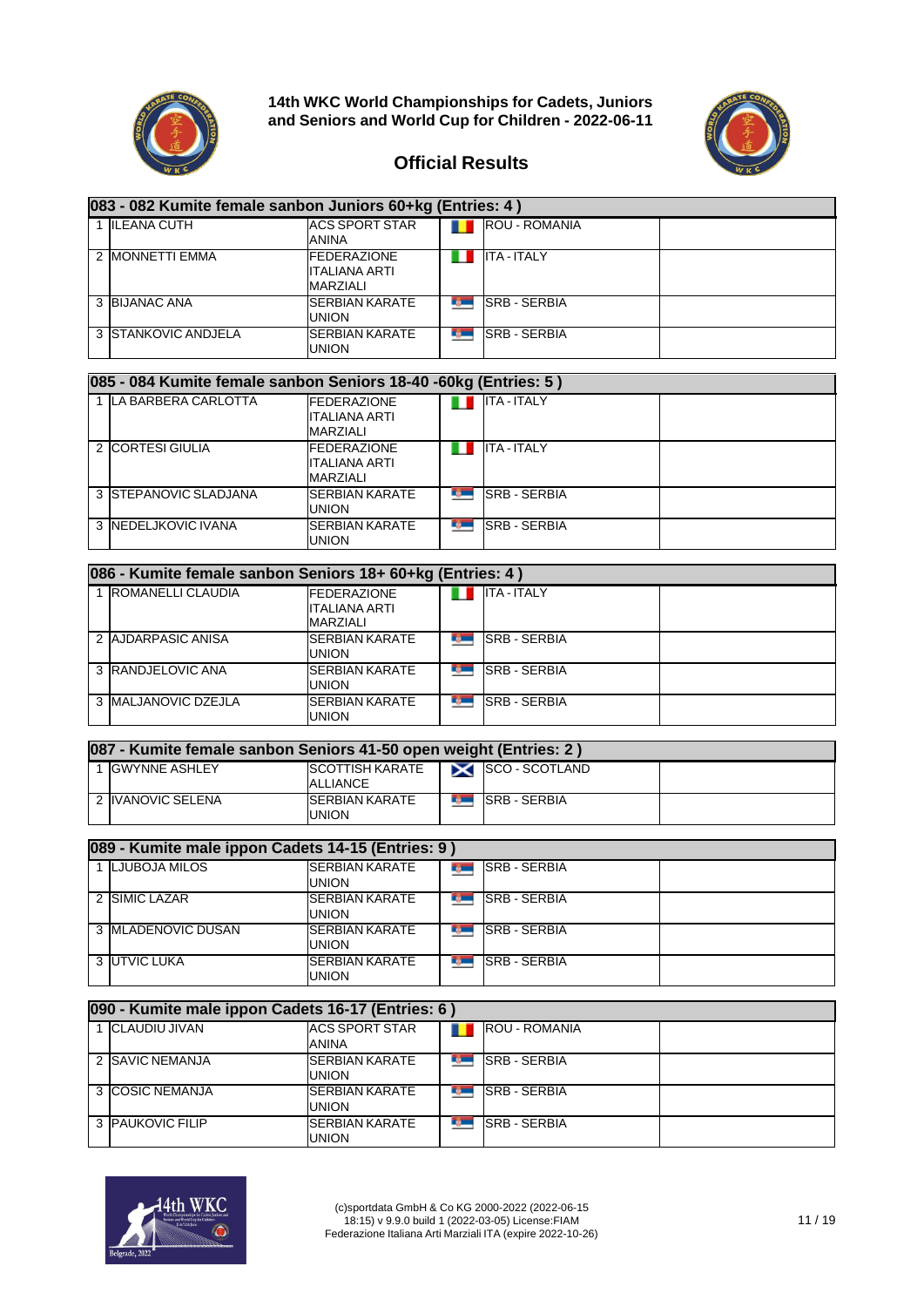



| 083 - 082 Kumite female sanbon Juniors 60+kg (Entries: 4) |                                                               |            |                      |  |  |  |  |
|-----------------------------------------------------------|---------------------------------------------------------------|------------|----------------------|--|--|--|--|
| 1 ILEANA CUTH                                             | <b>ACS SPORT STAR</b><br>ANINA                                |            | <b>ROU - ROMANIA</b> |  |  |  |  |
| 2 IMONNETTI EMMA                                          | <b>FEDERAZIONE</b><br><b>ITALIANA ARTI</b><br><b>MARZIALI</b> |            | <b>ITA - ITALY</b>   |  |  |  |  |
| 3 BIJANAC ANA                                             | <b>SERBIAN KARATE</b><br>union                                | <b>COL</b> | <b>SRB - SERBIA</b>  |  |  |  |  |
| 3 STANKOVIC ANDJELA                                       | <b>SERBIAN KARATE</b><br>UNION                                | L.,        | <b>SRB - SERBIA</b>  |  |  |  |  |

| 085 - 084 Kumite female sanbon Seniors 18-40 -60kg (Entries: 5) |                                                         |              |                    |  |  |  |  |  |
|-----------------------------------------------------------------|---------------------------------------------------------|--------------|--------------------|--|--|--|--|--|
| LA BARBERA CARLOTTA                                             | <b>IFEDERAZIONE</b><br><b>ITALIANA ARTI</b><br>MARZIALI |              | <b>ITA - ITALY</b> |  |  |  |  |  |
| 2 CORTESI GIULIA                                                | <b>FEDERAZIONE</b><br>ITALIANA ARTI<br>MARZIALI         |              | <b>ITA - ITALY</b> |  |  |  |  |  |
| 3 STEPANOVIC SLADJANA                                           | <b>SERBIAN KARATE</b><br>union                          | <b>LO</b>    | <b>SRB-SERBIA</b>  |  |  |  |  |  |
| 3 <b>INEDELJKOVIC IVANA</b>                                     | <b>SERBIAN KARATE</b><br>UNION                          | <b>TABLE</b> | <b>SRB-SERBIA</b>  |  |  |  |  |  |

| 086 - Kumite female sanbon Seniors 18+ 60+kg (Entries: 4) |                                                 |      |                     |  |  |  |  |  |
|-----------------------------------------------------------|-------------------------------------------------|------|---------------------|--|--|--|--|--|
| ROMANELLI CLAUDIA                                         | <b>FEDERAZIONE</b><br>ITALIANA ARTI<br>MARZIALI |      | <b>ITA - ITALY</b>  |  |  |  |  |  |
| 2 AJDARPASIC ANISA                                        | <b>ISERBIAN KARATE</b><br><b>UNION</b>          |      | <b>SRB - SERBIA</b> |  |  |  |  |  |
| 3 RANDJELOVIC ANA                                         | <b>SERBIAN KARATE</b><br><b>UNION</b>           | n ga | <b>SRB - SERBIA</b> |  |  |  |  |  |
| 3 MALJANOVIC DZEJLA                                       | <b>ISERBIAN KARATE</b><br>UNION                 |      | <b>SRB - SERBIA</b> |  |  |  |  |  |

| 087 - Kumite female sanbon Seniors 41-50 open weight (Entries: 2) |                                       |                      |                     |  |  |  |  |
|-------------------------------------------------------------------|---------------------------------------|----------------------|---------------------|--|--|--|--|
| <b>GWYNNE ASHLEY</b>                                              | <b>ISCOTTISH KARATE</b><br>ALLIANCE   |                      | SCO-SCOTLAND        |  |  |  |  |
| 2 IVANOVIC SELENA                                                 | <b>SERBIAN KARATE</b><br><b>UNION</b> | <b>Communication</b> | <b>SRB - SERBIA</b> |  |  |  |  |

| 089 - Kumite male ippon Cadets 14-15 (Entries: 9) |                                |  |                     |  |  |  |  |
|---------------------------------------------------|--------------------------------|--|---------------------|--|--|--|--|
| 1 ILJUBOJA MILOS                                  | <b>SERBIAN KARATE</b><br>union |  | <b>SRB - SERBIA</b> |  |  |  |  |
| 2 SIMIC LAZAR                                     | <b>SERBIAN KARATE</b><br>union |  | <b>SRB - SERBIA</b> |  |  |  |  |
| 3 IMLADENOVIC DUSAN                               | <b>SERBIAN KARATE</b><br>union |  | <b>SRB - SERBIA</b> |  |  |  |  |
| 3 UTVIC LUKA                                      | <b>SERBIAN KARATE</b><br>UNION |  | <b>SRB - SERBIA</b> |  |  |  |  |

| 090 - Kumite male ippon Cadets 16-17 (Entries: 6) |                                        |  |                      |  |  |  |  |  |
|---------------------------------------------------|----------------------------------------|--|----------------------|--|--|--|--|--|
| 1 CLAUDIU JIVAN                                   | <b>ACS SPORT STAR</b><br>ANINA         |  | <b>ROU - ROMANIA</b> |  |  |  |  |  |
| 2 ISAVIC NEMANJA                                  | <b>ISERBIAN KARATE</b><br><b>UNION</b> |  | <b>SRB - SERBIA</b>  |  |  |  |  |  |
| 3 COSIC NEMANJA                                   | <b>ISERBIAN KARATE</b><br><b>UNION</b> |  | <b>SRB - SERBIA</b>  |  |  |  |  |  |
| 3 PAUKOVIC FILIP                                  | <b>SERBIAN KARATE</b><br>UNION         |  | <b>SRB - SERBIA</b>  |  |  |  |  |  |

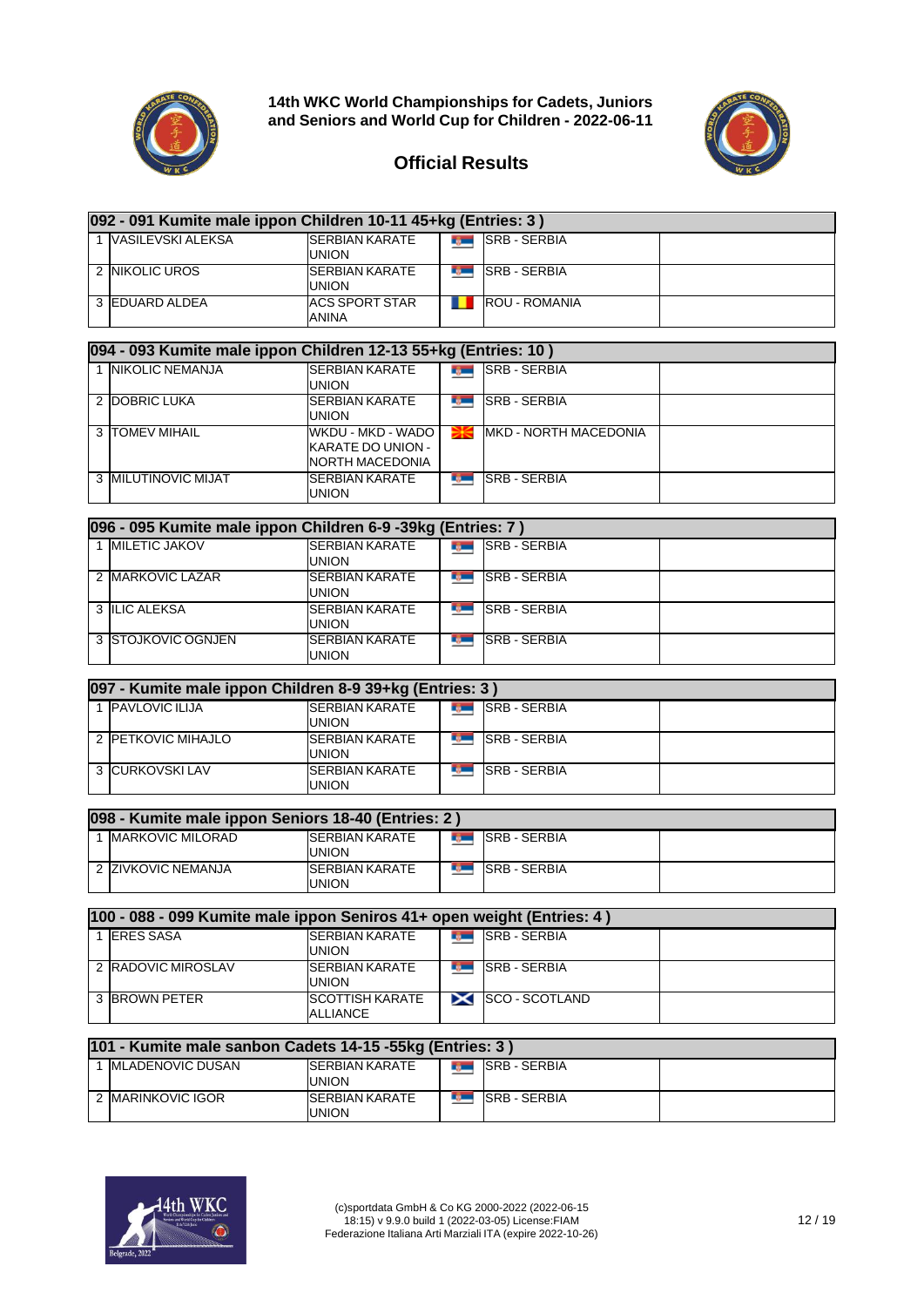



| 092 - 091 Kumite male ippon Children 10-11 45+kg (Entries: 3) |                     |                                        |  |                      |  |  |  |
|---------------------------------------------------------------|---------------------|----------------------------------------|--|----------------------|--|--|--|
|                                                               | 1 VASILEVSKI ALEKSA | <b>SERBIAN KARATE</b><br>UNION         |  | <b>SRB - SERBIA</b>  |  |  |  |
|                                                               | 2 NIKOLIC UROS      | <b>ISERBIAN KARATE</b><br><b>UNION</b> |  | <b>ISRB - SERBIA</b> |  |  |  |
|                                                               | 3 EDUARD ALDEA      | <b>ACS SPORT STAR</b><br>ANINA         |  | ROU - ROMANIA        |  |  |  |

| 094 - 093 Kumite male ippon Children 12-13 55+kg (Entries: 10) |                                                           |              |                               |  |  |  |  |  |
|----------------------------------------------------------------|-----------------------------------------------------------|--------------|-------------------------------|--|--|--|--|--|
| 1 INIKOLIC NEMANJA                                             | <b>SERBIAN KARATE</b><br>UNION                            | <b>IL DE</b> | <b>SRB - SERBIA</b>           |  |  |  |  |  |
| 2 DOBRIC LUKA                                                  | <b>SERBIAN KARATE</b><br><b>UNION</b>                     |              | <b>SRB - SERBIA</b>           |  |  |  |  |  |
| 3 <b>ITOMEV MIHAIL</b>                                         | WKDU - MKD - WADO<br>KARATE DO UNION -<br>NORTH MACEDONIA |              | <b>IMKD - NORTH MACEDONIA</b> |  |  |  |  |  |
| 3 MILUTINOVIC MIJAT                                            | <b>SERBIAN KARATE</b><br>UNION                            | EQ.          | <b>SRB - SERBIA</b>           |  |  |  |  |  |

| 096 - 095 Kumite male ippon Children 6-9 -39kg (Entries: 7) |                                       |  |                     |  |  |  |  |  |
|-------------------------------------------------------------|---------------------------------------|--|---------------------|--|--|--|--|--|
| 1 <b>MILETIC JAKOV</b>                                      | <b>SERBIAN KARATE</b><br><b>UNION</b> |  | <b>SRB - SERBIA</b> |  |  |  |  |  |
| 2 MARKOVIC LAZAR                                            | <b>SERBIAN KARATE</b><br><b>UNION</b> |  | <b>SRB - SERBIA</b> |  |  |  |  |  |
| 3 ILIC ALEKSA                                               | <b>SERBIAN KARATE</b><br><b>UNION</b> |  | <b>SRB - SERBIA</b> |  |  |  |  |  |
| 3 ISTOJKOVIC OGNJEN                                         | <b>SERBIAN KARATE</b><br>UNION        |  | <b>SRB - SERBIA</b> |  |  |  |  |  |

| 097 - Kumite male ippon Children 8-9 39+kg (Entries: 3) |                                 |  |                      |  |  |  |  |
|---------------------------------------------------------|---------------------------------|--|----------------------|--|--|--|--|
| 1 <b>PAVLOVIC ILIJA</b>                                 | <b>ISERBIAN KARATE</b><br>UNION |  | <b>ISRB - SERBIA</b> |  |  |  |  |
| 2 PETKOVIC MIHAJLO                                      | <b>ISERBIAN KARATE</b><br>union |  | <b>ISRB - SERBIA</b> |  |  |  |  |
| 3 CURKOVSKI LAV                                         | <b>SERBIAN KARATE</b><br>UNION  |  | <b>SRB - SERBIA</b>  |  |  |  |  |

|  | 098 - Kumite male ippon Seniors 18-40 (Entries: 2) |                                        |                                            |                     |  |  |  |  |  |
|--|----------------------------------------------------|----------------------------------------|--------------------------------------------|---------------------|--|--|--|--|--|
|  | <b>IMARKOVIC MILORAD</b>                           | <b>ISERBIAN KARATE</b><br><b>UNION</b> | <b>College College</b>                     | I ISRB - SERBIA     |  |  |  |  |  |
|  | 2 ZIVKOVIC NEMANJA                                 | <b>ISERBIAN KARATE</b><br><b>UNION</b> | <b>Contract Contract Contract Contract</b> | <b>SRB - SERBIA</b> |  |  |  |  |  |

| 100 - 088 - 099 Kumite male ippon Seniros 41+ open weight (Entries: 4) |                                        |               |                     |  |  |  |  |
|------------------------------------------------------------------------|----------------------------------------|---------------|---------------------|--|--|--|--|
| <b>ERES SASA</b>                                                       | <b>ISERBIAN KARATE</b><br><b>UNION</b> | <b>The Co</b> | <b>SRB - SERBIA</b> |  |  |  |  |
| 2 RADOVIC MIROSLAV                                                     | <b>ISERBIAN KARATE</b><br>UNION        |               | <b>SRB - SERBIA</b> |  |  |  |  |
| 3 BROWN PETER                                                          | <b>ISCOTTISH KARATE</b><br>ALLIANCE    |               | SCO-SCOTLAND        |  |  |  |  |

| 101 - Kumite male sanbon Cadets 14-15 -55kg (Entries: 3) |                                 |                                |                     |  |  |  |  |  |
|----------------------------------------------------------|---------------------------------|--------------------------------|---------------------|--|--|--|--|--|
| <b>IMLADENOVIC DUSAN</b>                                 | <b>ISERBIAN KARATE</b><br>union | <b>The Contract of Service</b> | <b>SRB - SERBIA</b> |  |  |  |  |  |
| 2 MARINKOVIC IGOR                                        | <b>ISERBIAN KARATE</b><br>UNION |                                | <b>SRB - SERBIA</b> |  |  |  |  |  |

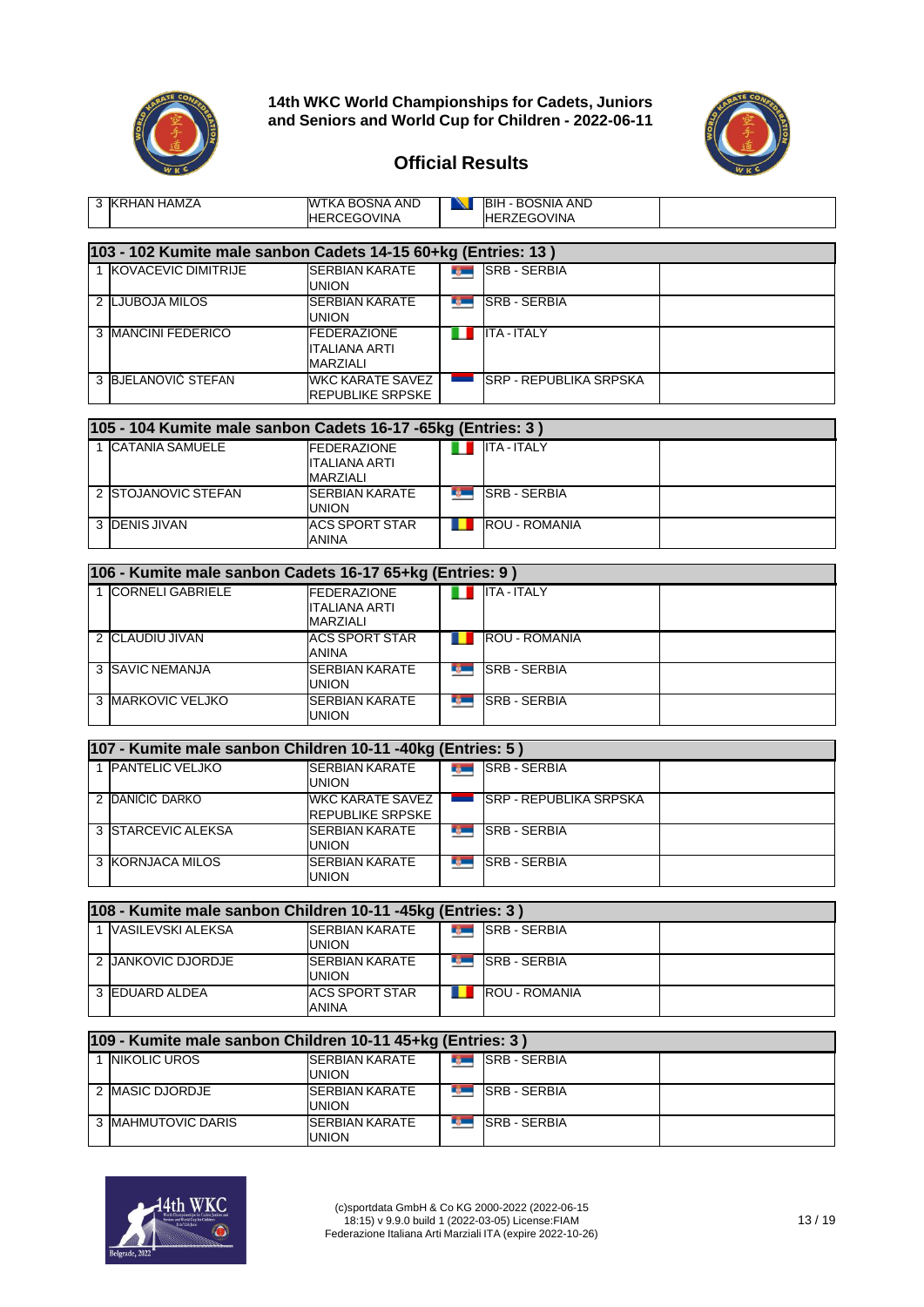



٦

Τ

| 3 KRHAN HAMZA                                                 | WTKA BOSNA AND<br><b>HERCEGOVINA</b>                          |               | <b>NEIBIH - BOSNIA AND</b><br><b>HERZEGOVINA</b> |  |
|---------------------------------------------------------------|---------------------------------------------------------------|---------------|--------------------------------------------------|--|
| 103 - 102 Kumite male sanbon Cadets 14-15 60+kg (Entries: 13) |                                                               |               |                                                  |  |
| 1 KOVACEVIC DIMITRIJE                                         | <b>SERBIAN KARATE</b><br>UNION                                |               | <b>SRB-SERBIA</b>                                |  |
| 2 LJUBOJA MILOS                                               | <b>SERBIAN KARATE</b><br>UNION                                |               | <b>SRB-SERBIA</b>                                |  |
| 3 MANCINI FEDERICO                                            | <b>FEDERAZIONE</b><br>ITALIANA ARTI<br>MARZIALI               | ш             | <b>ITA - ITALY</b>                               |  |
| 3 BJELANOVIĆ STEFAN                                           | <b>WKC KARATE SAVEZ</b><br>REPUBLIKE SRPSKE                   |               | SRP - REPUBLIKA SRPSKA                           |  |
| 105 - 104 Kumite male sanbon Cadets 16-17 - 65kg (Entries: 3) |                                                               |               |                                                  |  |
| 1 CATANIA SAMUELE                                             | <b>FEDERAZIONE</b><br><b>ITALIANA ARTI</b><br>MARZIALI        | n a           | <b>ITA - ITALY</b>                               |  |
| 2 STOJANOVIC STEFAN                                           | <b>SERBIAN KARATE</b><br>union                                |               | <b>SRB-SERBIA</b>                                |  |
| 3 DENIS JIVAN                                                 | <b>ACS SPORT STAR</b><br>ANINA                                | . .           | <b>ROU - ROMANIA</b>                             |  |
| 106 - Kumite male sanbon Cadets 16-17 65+kg (Entries: 9)      |                                                               |               |                                                  |  |
| 1 CORNELI GABRIELE                                            | <b>FEDERAZIONE</b><br><b>ITALIANA ARTI</b><br><b>MARZIALI</b> | Ш             | <b>ITA - ITALY</b>                               |  |
| 2 CLAUDIU JIVAN                                               | <b>ACS SPORT STAR</b><br>ANINA                                |               | <b>ROU - ROMANIA</b>                             |  |
| 3 SAVIC NEMANJA                                               | <b>SERBIAN KARATE</b><br>union                                | r gant        | <b>SRB - SERBIA</b>                              |  |
| 3 MARKOVIC VELJKO                                             | <b>SERBIAN KARATE</b><br>UNION                                |               | <b>ISRB-SERBIA</b>                               |  |
| 107 - Kumite male sanbon Children 10-11 -40kg (Entries: 5)    |                                                               |               |                                                  |  |
| 1 PANTELIC VELJKO                                             | <b>SERBIAN KARATE</b><br>UNION                                |               | <b>REAL SRB-SERBIA</b>                           |  |
| 2 DANIČIĆ DARKO                                               | <b>WKC KARATE SAVEZ</b><br>REPUBLIKE SRPSKE                   | <u>e a s</u>  | <b>SRP - REPUBLIKA SRPSKA</b>                    |  |
| 3 STARCEVIC ALEKSA                                            | <b>SERBIAN KARATE</b><br>union                                |               | <b>SRB-SERBIA</b>                                |  |
| 3 KORNJACA MILOS                                              | <b>SERBIAN KARATE</b><br>union                                | rg –          | <b>SRB - SERBIA</b>                              |  |
| 108 - Kumite male sanbon Children 10-11 -45kg (Entries: 3)    |                                                               |               |                                                  |  |
| 1 VASILEVSKI ALEKSA                                           | <b>SERBIAN KARATE</b><br>union                                | <b>Report</b> | <b>SRB - SERBIA</b>                              |  |
| 2 JANKOVIC DJORDJE                                            | <b>SERBIAN KARATE</b><br>union                                | rg —          | <b>SRB - SERBIA</b>                              |  |
| 3 EDUARD ALDEA                                                | <b>ACS SPORT STAR</b><br>ANINA                                |               | <b>ROU - ROMANIA</b>                             |  |
| 109 - Kumite male sanbon Children 10-11 45+kg (Entries: 3)    |                                                               |               |                                                  |  |

| 109 - Kumite male sanbon Children 10-11 45+kg (Entries: 3) |                                 |  |                      |  |  |  |  |  |
|------------------------------------------------------------|---------------------------------|--|----------------------|--|--|--|--|--|
| <b>INIKOLIC UROS</b>                                       | <b>ISERBIAN KARATE</b><br>union |  | <b>SRB - SERBIA</b>  |  |  |  |  |  |
| 2 IMASIC DJORDJE                                           | <b>SERBIAN KARATE</b><br>union  |  | <b>ISRB - SERBIA</b> |  |  |  |  |  |
| 3 MAHMUTOVIC DARIS                                         | <b>SERBIAN KARATE</b><br>union  |  | <b>SRB - SERBIA</b>  |  |  |  |  |  |

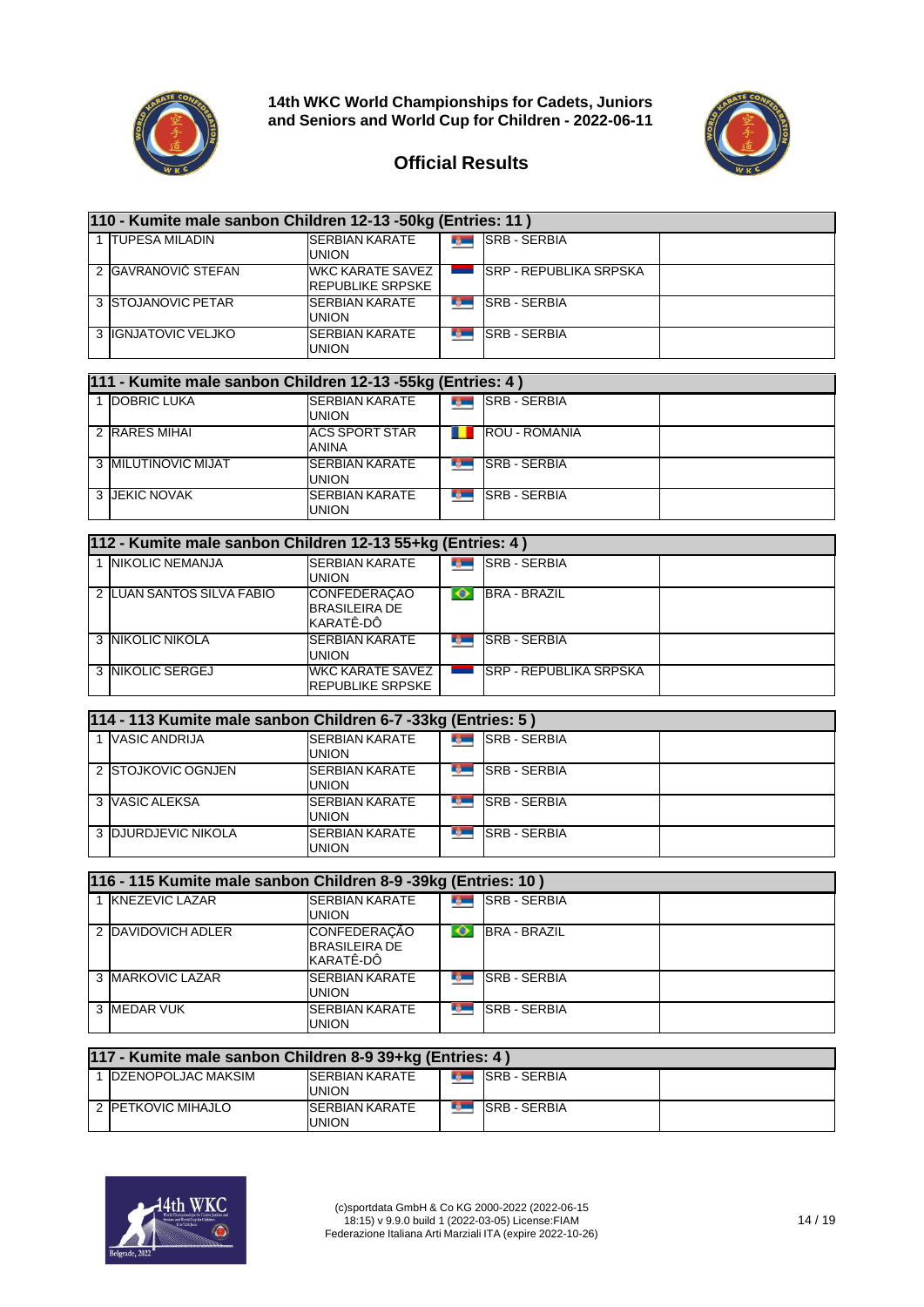



| 110 - Kumite male sanbon Children 12-13 -50kg (Entries: 11) |                                             |  |                                |  |  |  |  |  |
|-------------------------------------------------------------|---------------------------------------------|--|--------------------------------|--|--|--|--|--|
| 1 TUPESA MILADIN                                            | <b>SERBIAN KARATE</b><br><b>UNION</b>       |  | <b>SRB - SERBIA</b>            |  |  |  |  |  |
| 2 GAVRANOVIĆ STEFAN                                         | WKC KARATE SAVEZ<br><b>REPUBLIKE SRPSKE</b> |  | <b>ISRP - REPUBLIKA SRPSKA</b> |  |  |  |  |  |
| 3 STOJANOVIC PETAR                                          | <b>SERBIAN KARATE</b><br>UNION              |  | <b>SRB - SERBIA</b>            |  |  |  |  |  |
| 3 IIGNJATOVIC VELJKO                                        | <b>SERBIAN KARATE</b><br>union              |  | <b>SRB - SERBIA</b>            |  |  |  |  |  |

|  | 111 - Kumite male sanbon Children 12-13 -55kg (Entries: 4) |                                       |  |                       |  |  |  |  |  |
|--|------------------------------------------------------------|---------------------------------------|--|-----------------------|--|--|--|--|--|
|  | DOBRIC LUKA                                                | <b>SERBIAN KARATE</b><br><b>UNION</b> |  | <b>SRB - SERBIA</b>   |  |  |  |  |  |
|  | 2 RARES MIHAI                                              | <b>ACS SPORT STAR</b><br>ANINA        |  | <b>IROU - ROMANIA</b> |  |  |  |  |  |
|  | 3 <b>MILUTINOVIC MIJAT</b>                                 | <b>SERBIAN KARATE</b><br>union        |  | <b>SRB - SERBIA</b>   |  |  |  |  |  |
|  | 3 JEKIC NOVAK                                              | <b>SERBIAN KARATE</b><br>union        |  | <b>SRB - SERBIA</b>   |  |  |  |  |  |

| 112 - Kumite male sanbon Children 12-13 55+kg (Entries: 4) |                                                    |  |                                |  |  |  |  |  |  |
|------------------------------------------------------------|----------------------------------------------------|--|--------------------------------|--|--|--|--|--|--|
| <b>NIKOLIC NEMANJA</b>                                     | <b>SERBIAN KARATE</b><br><b>UNION</b>              |  | <b>SRB - SERBIA</b>            |  |  |  |  |  |  |
| 2 LUAN SANTOS SILVA FABIO                                  | CONFEDERAÇÃO<br><b>BRASILEIRA DE</b><br>KARATÊ-DÔ  |  | <b>BRA - BRAZIL</b>            |  |  |  |  |  |  |
| 3 INIKOLIC NIKOLA                                          | <b>ISERBIAN KARATE</b><br><b>UNION</b>             |  | <b>SRB - SERBIA</b>            |  |  |  |  |  |  |
| 3 INIKOLIC SERGEJ                                          | <b>WKC KARATE SAVEZ</b><br><b>REPUBLIKE SRPSKE</b> |  | <b>ISRP - REPUBLIKA SRPSKA</b> |  |  |  |  |  |  |

| 114 - 113 Kumite male sanbon Children 6-7 -33kg (Entries: 5) |                                        |   |                     |  |  |  |  |  |
|--------------------------------------------------------------|----------------------------------------|---|---------------------|--|--|--|--|--|
| VASIC ANDRIJA                                                | <b>ISERBIAN KARATE</b><br><b>UNION</b> |   | <b>SRB - SERBIA</b> |  |  |  |  |  |
| 2 ISTOJKOVIC OGNJEN                                          | <b>SERBIAN KARATE</b><br><b>UNION</b>  | ю | <b>SRB - SERBIA</b> |  |  |  |  |  |
| 3 VASIC ALEKSA                                               | <b>SERBIAN KARATE</b><br>UNION         |   | <b>SRB - SERBIA</b> |  |  |  |  |  |
| 3 DJURDJEVIC NIKOLA                                          | <b>SERBIAN KARATE</b><br>union         |   | <b>SRB - SERBIA</b> |  |  |  |  |  |

| 116 - 115 Kumite male sanbon Children 8-9 -39kg (Entries: 10) |                                                          |              |                     |  |  |  |  |
|---------------------------------------------------------------|----------------------------------------------------------|--------------|---------------------|--|--|--|--|
| 1 KNEZEVIC LAZAR                                              | <b>SERBIAN KARATE</b><br>union                           | <b>Light</b> | <b>SRB - SERBIA</b> |  |  |  |  |
| 2 DAVIDOVICH ADLER                                            | <b>CONFEDERAÇÃO</b><br><b>BRASILEIRA DE</b><br>KARATÊ-DÔ |              | <b>BRA - BRAZIL</b> |  |  |  |  |
| 3 MARKOVIC LAZAR                                              | <b>SERBIAN KARATE</b><br>union                           | w            | <b>SRB - SERBIA</b> |  |  |  |  |
| 3 MEDAR VUK                                                   | <b>SERBIAN KARATE</b><br>union                           | T.           | <b>SRB - SERBIA</b> |  |  |  |  |

| 117 - Kumite male sanbon Children 8-9 39+kg (Entries: 4) |                                 |  |                        |  |  |  |  |  |
|----------------------------------------------------------|---------------------------------|--|------------------------|--|--|--|--|--|
| <b>IDZENOPOLJAC MAKSIM</b>                               | <b>ISERBIAN KARATE</b><br>UNION |  | <b>THE ISRB-SERBIA</b> |  |  |  |  |  |
| 2 PETKOVIC MIHAJLO                                       | <b>ISERBIAN KARATE</b><br>UNION |  | <b>ISRB - SERBIA</b>   |  |  |  |  |  |

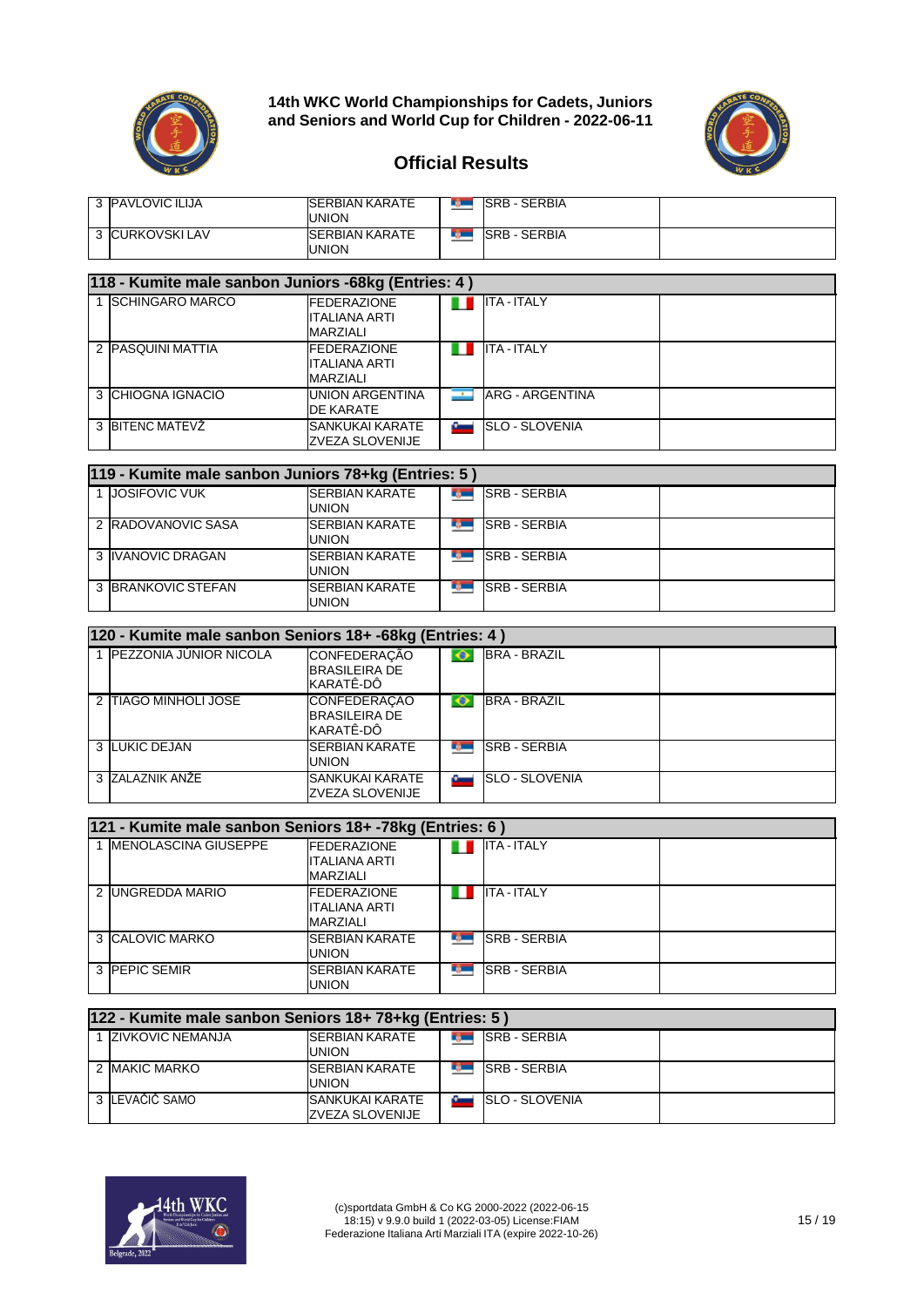



#### **Official Results**

| 3 PAVLOVIC ILIJA | <b>ISERBIAN KARATE</b><br>union       | <b>SRB - SERBIA</b> |  |
|------------------|---------------------------------------|---------------------|--|
| 3 CURKOVSKI LAV  | <b>SERBIAN KARATE</b><br><b>UNION</b> | <b>SRB - SERBIA</b> |  |

#### **118 - Kumite male sanbon Juniors -68kg (Entries: 4 )** 1 SCHINGARO MARCO DГ ITA - ITALY ITALIANA ARTI MARZIALI<br>FEDERAZIONE 2 PASQUINI MATTIA Ш ITA - ITALY ITALIANA ARTI MARZIALI<br>UNION ARGENTINA 3 CHIOGNA IGNACIO ARG - ARGENTINA ŀ DE KARATE 3 BITENC MATEVŽ SANKUKAI KARATE ľ SLO - SLOVENIA ZVEZA SLOVENIJE

| 119 - Kumite male sanbon Juniors 78+kg (Entries: 5) |                                |  |                     |  |  |  |  |
|-----------------------------------------------------|--------------------------------|--|---------------------|--|--|--|--|
| <b>JOSIFOVIC VUK</b>                                | <b>SERBIAN KARATE</b><br>UNION |  | <b>SRB-SERBIA</b>   |  |  |  |  |
| 2 RADOVANOVIC SASA                                  | <b>SERBIAN KARATE</b><br>UNION |  | <b>SRB - SERBIA</b> |  |  |  |  |
| 3 IVANOVIC DRAGAN                                   | <b>SERBIAN KARATE</b><br>UNION |  | <b>SRB - SERBIA</b> |  |  |  |  |
| 3 BRANKOVIC STEFAN                                  | <b>SERBIAN KARATE</b><br>union |  | <b>SRB - SERBIA</b> |  |  |  |  |

| 120 - Kumite male sanbon Seniors 18+ -68kg (Entries: 4) |                                                          |    |                       |  |  |  |  |  |
|---------------------------------------------------------|----------------------------------------------------------|----|-----------------------|--|--|--|--|--|
| 1 PEZZONIA JÚNIOR NICOLA                                | <b>CONFEDERAÇÃO</b><br><b>BRASILEIRA DE</b><br>KARATÊ-DÔ |    | <b>BRA - BRAZIL</b>   |  |  |  |  |  |
| 2 ITIAGO MINHOLI JOSE                                   | <b>CONFEDERACAO</b><br><b>BRASILEIRA DE</b><br>KARATÊ-DÔ |    | <b>BRA - BRAZIL</b>   |  |  |  |  |  |
| 3 LUKIC DEJAN                                           | <b>SERBIAN KARATE</b><br><b>UNION</b>                    | T, | <b>SRB - SERBIA</b>   |  |  |  |  |  |
| 3 ZALAZNIK ANŽE                                         | <b>SANKUKAI KARATE</b><br>ZVEZA SLOVENIJE                |    | <b>SLO - SLOVENIA</b> |  |  |  |  |  |

| 121 - Kumite male sanbon Seniors 18+ -78kg (Entries: 6) |                                                  |            |                      |  |  |  |  |  |
|---------------------------------------------------------|--------------------------------------------------|------------|----------------------|--|--|--|--|--|
| <b>MENOLASCINA GIUSEPPE</b>                             | <b>FEDERAZIONE</b><br>ITALIANA ARTI<br>MARZIALI  |            | <b>ITA - ITALY</b>   |  |  |  |  |  |
| 2 UNGREDDA MARIO                                        | <b>IFEDERAZIONE</b><br>ITALIANA ARTI<br>MARZIALI |            | <b>ITA-ITALY</b>     |  |  |  |  |  |
| 3 CALOVIC MARKO                                         | <b>ISERBIAN KARATE</b><br><b>UNION</b>           |            | <b>SRB - SERBIA</b>  |  |  |  |  |  |
| 3 PEPIC SEMIR                                           | <b>SERBIAN KARATE</b><br><b>UNION</b>            | <b>TOM</b> | <b>ISRB - SERBIA</b> |  |  |  |  |  |

| 122 - Kumite male sanbon Seniors 18+ 78+kg (Entries: 5) |                                           |  |                       |  |  |  |  |
|---------------------------------------------------------|-------------------------------------------|--|-----------------------|--|--|--|--|
| 1 ZIVKOVIC NEMANJA                                      | <b>ISERBIAN KARATE</b><br><b>UNION</b>    |  | <b>SRB - SERBIA</b>   |  |  |  |  |
| 2 <b>IMAKIC MARKO</b>                                   | <b>SERBIAN KARATE</b><br>union            |  | <b>SRB - SERBIA</b>   |  |  |  |  |
| 3 LEVAČIČ SAMO                                          | <b>SANKUKAI KARATE</b><br>ZVEZA SLOVENIJE |  | <b>SLO - SLOVENIA</b> |  |  |  |  |

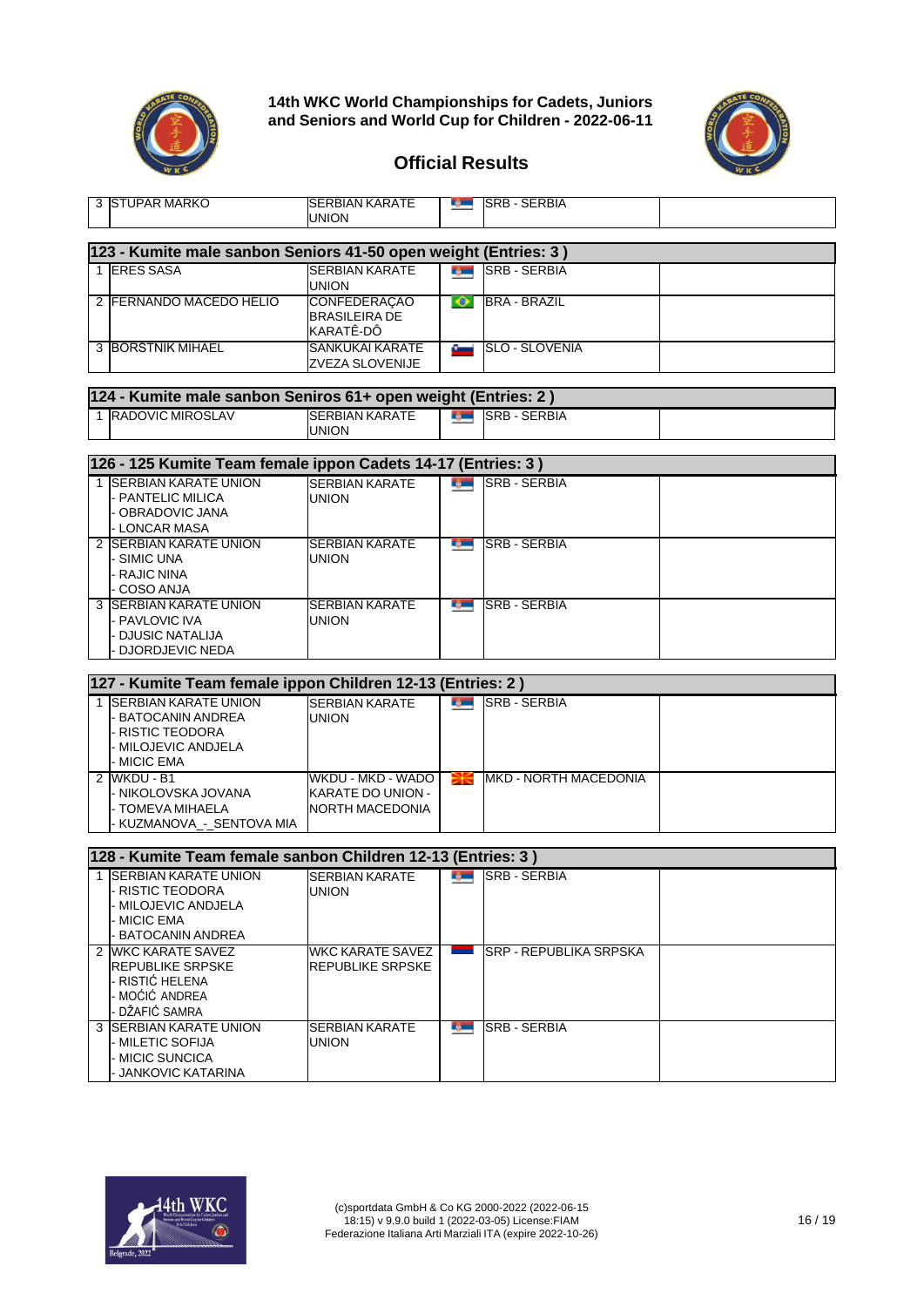



| 3 ISTUPAR MARKO                                                 | SERBIAN KARATE<br><b>UNION</b>        | ng ma                 | <b>ISRB - SERBIA</b>          |  |
|-----------------------------------------------------------------|---------------------------------------|-----------------------|-------------------------------|--|
| 123 - Kumite male sanbon Seniors 41-50 open weight (Entries: 3) |                                       |                       |                               |  |
| 1 ERES SASA                                                     | <b>SERBIAN KARATE</b>                 |                       | <b>SRB-SERBIA</b>             |  |
|                                                                 | UNION                                 |                       |                               |  |
| 2 FERNANDO MACEDO HÉLIO                                         | <b>CONFEDERAÇÃO</b>                   | $\bullet$             | <b>BRA - BRAZIL</b>           |  |
|                                                                 | <b>BRASILEIRA DE</b><br>KARATÊ-DÔ     |                       |                               |  |
| <b>3 BORSTNIK MIHAEL</b>                                        | <b>SANKUKAI KARATE</b>                | فست                   | <b>SLO - SLOVENIA</b>         |  |
|                                                                 | ZVEZA SLOVENIJE                       |                       |                               |  |
| 124 - Kumite male sanbon Seniros 61+ open weight (Entries: 2)   |                                       |                       |                               |  |
| 1 RADOVIC MIROSLAV                                              | <b>SERBIAN KARATE</b>                 |                       | <b>SRB-SERBIA</b>             |  |
|                                                                 | UNION                                 |                       |                               |  |
| 126 - 125 Kumite Team female ippon Cadets 14-17 (Entries: 3)    |                                       |                       |                               |  |
| 1 SERBIAN KARATE UNION                                          |                                       |                       | <b>SRB - SERBIA</b>           |  |
| - PANTELIC MILICA                                               | <b>SERBIAN KARATE</b><br><b>UNION</b> | <b>Report</b>         |                               |  |
| - OBRADOVIC JANA                                                |                                       |                       |                               |  |
| - LONCAR MASA                                                   |                                       |                       |                               |  |
| 2 SERBIAN KARATE UNION<br>- SIMIC UNA                           | <b>SERBIAN KARATE</b><br><b>UNION</b> |                       | <b>SRB-SERBIA</b>             |  |
| - RAJIC NINA                                                    |                                       |                       |                               |  |
| COSO ANJA                                                       |                                       |                       |                               |  |
| 3 ISERBIAN KARATE UNION                                         | <b>SERBIAN KARATE</b>                 |                       | <b>BULLER SERBIA</b>          |  |
| - PAVLOVIC IVA<br>- DJUSIC NATALIJA                             | <b>UNION</b>                          |                       |                               |  |
| DJORDJEVIC NEDA                                                 |                                       |                       |                               |  |
|                                                                 |                                       |                       |                               |  |
| 127 - Kumite Team female ippon Children 12-13 (Entries: 2)      |                                       |                       |                               |  |
| 1 <b>ISERBIAN KARATE UNION</b>                                  | <b>SERBIAN KARATE</b>                 | <b>Barnett Street</b> | <b>SRB - SERBIA</b>           |  |
| - BATOCANIN ANDREA<br><b>RISTIC TEODORA</b>                     | <b>UNION</b>                          |                       |                               |  |
| MILOJEVIC ANDJELA                                               |                                       |                       |                               |  |
| - MICIC EMA                                                     |                                       |                       |                               |  |
| 2 WKDU - B1                                                     | WKDU - MKD - WADO                     | ₩€                    | <b>IMKD - NORTH MACEDONIA</b> |  |
| - NIKOLOVSKA JOVANA<br>- TOMEVA MIHAELA                         | KARATE DO UNION -<br>NORTH MACEDONIA  |                       |                               |  |
| KUZMANOVA_-_SENTOVA MIA                                         |                                       |                       |                               |  |
|                                                                 |                                       |                       |                               |  |
| 128 - Kumite Team female sanbon Children 12-13 (Entries: 3)     |                                       |                       |                               |  |
| 1 SERBIAN KARATE UNION                                          | <b>SERBIAN KARATE</b>                 | <b>Record</b>         | <b>SRB - SERBIA</b>           |  |
| - RISTIC TEODORA<br>MILOJEVIC ANDJELA                           | <b>UNION</b>                          |                       |                               |  |
| <b>MICIC EMA</b>                                                |                                       |                       |                               |  |
| <b>BATOCANIN ANDREA</b>                                         |                                       |                       |                               |  |
| 2 WKC KARATE SAVEZ                                              | WKC KARATE SAVEZ                      |                       | ISRP - REPUBLIKA SRPSKA       |  |
| <b>REPUBLIKE SRPSKE</b><br>- RISTIĆ HELENA                      | REPUBLIKE SRPSKE                      |                       |                               |  |
| - MOĆIĆ ANDREA                                                  |                                       |                       |                               |  |
| DŽAFIĆ SAMRA                                                    |                                       |                       |                               |  |
| 3 SERBIAN KARATE UNION                                          | SERBIAN KARATE                        | ng m                  | <b>SRB - SERBIA</b>           |  |
| - MILETIC SOFIJA<br>- MICIC SUNCICA                             | UNION                                 |                       |                               |  |
| <b>JANKOVIC KATARINA</b>                                        |                                       |                       |                               |  |
|                                                                 |                                       |                       |                               |  |

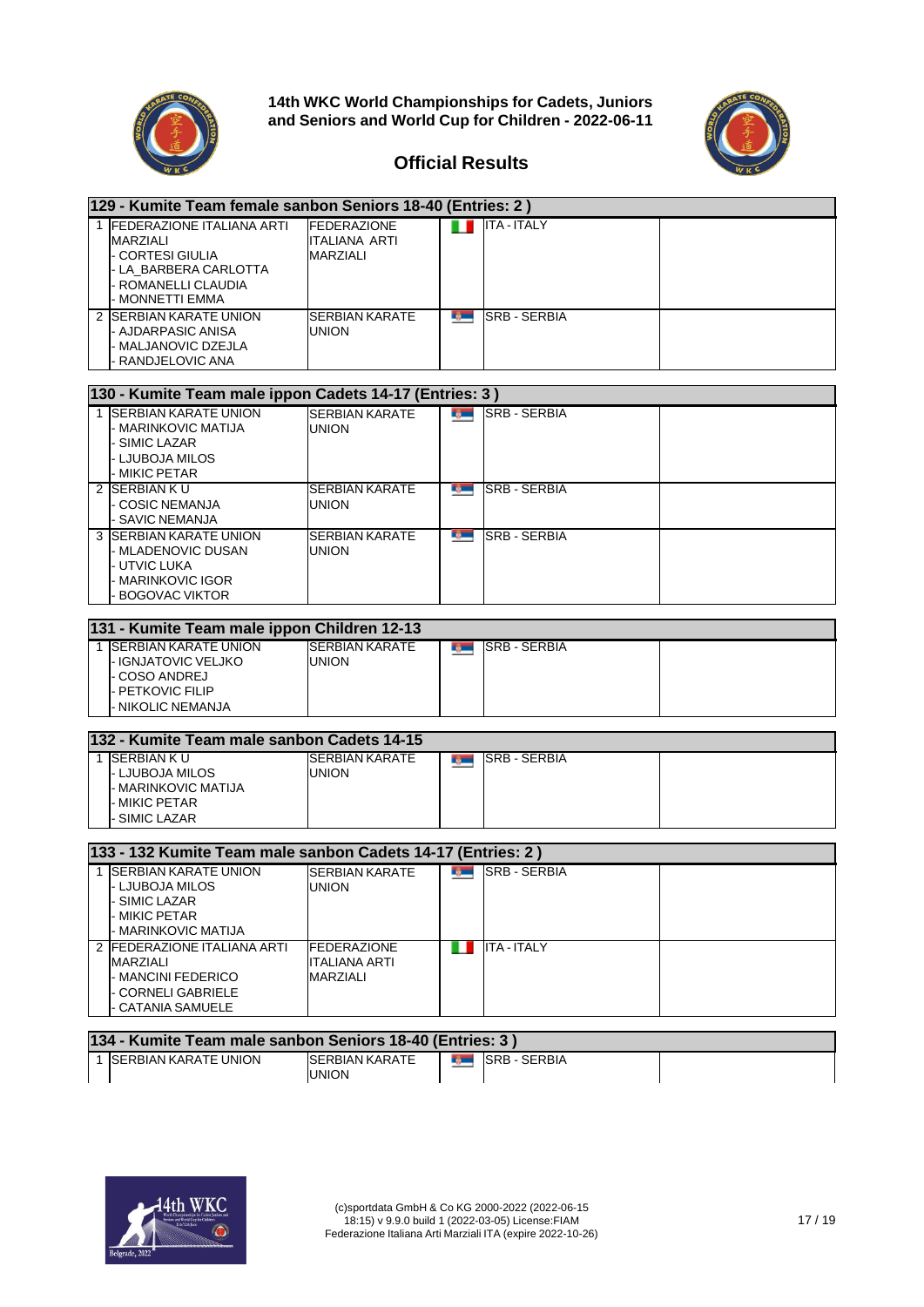



| 129 - Kumite Team female sanbon Seniors 18-40 (Entries: 2)                                                                            |                                                               |               |                        |  |  |
|---------------------------------------------------------------------------------------------------------------------------------------|---------------------------------------------------------------|---------------|------------------------|--|--|
| 1 FEDERAZIONE ITALIANA ARTI<br><b>MARZIALI</b><br>- CORTESI GIULIA<br>- LA BARBERA CARLOTTA<br>- ROMANELLI CLAUDIA<br>- MONNETTI EMMA | <b>FEDERAZIONE</b><br><b>ITALIANA ARTI</b><br><b>MARZIALI</b> | ш             | <b>ITA - ITALY</b>     |  |  |
| 2 SERBIAN KARATE UNION<br>- AJDARPASIC ANISA<br>- MALJANOVIC DZEJLA<br>RANDJELOVIC ANA                                                | SERBIAN KARATE<br><b>UNION</b>                                | r gan         | <b>SRB - SERBIA</b>    |  |  |
| 130 - Kumite Team male ippon Cadets 14-17 (Entries: 3)                                                                                |                                                               |               |                        |  |  |
| 1 SERBIAN KARATE UNION<br>- MARINKOVIC MATIJA<br>- SIMIC LAZAR<br>- LJUBOJA MILOS<br>- MIKIC PETAR                                    | <b>SERBIAN KARATE</b><br><b>UNION</b>                         |               | <b>REAL SRB-SERBIA</b> |  |  |
| 2 SERBIAN KU<br>- COSIC NEMANJA<br>- SAVIC NEMANJA                                                                                    | <b>SERBIAN KARATE</b><br><b>UNION</b>                         | nj m          | <b>SRB - SERBIA</b>    |  |  |
| <b>3 ISERBIAN KARATE UNION</b><br>- MLADENOVIC DUSAN<br>- UTVIC LUKA<br>- MARINKOVIC IGOR<br><b>BOGOVAC VIKTOR</b>                    | <b>SERBIAN KARATE</b><br><b>UNION</b>                         | ng m          | <b>SRB - SERBIA</b>    |  |  |
| 131 - Kumite Team male ippon Children 12-13                                                                                           |                                                               |               |                        |  |  |
| 1 <b>ISERBIAN KARATE UNION</b><br>- IGNJATOVIC VELJKO<br>- COSO ANDREJ<br>- PETKOVIC FILIP<br><b>NIKOLIC NEMANJA</b>                  | <b>SERBIAN KARATE</b><br><b>UNION</b>                         | n yw y        | SRB - SERBIA           |  |  |
| 132 - Kumite Team male sanbon Cadets 14-15                                                                                            |                                                               |               |                        |  |  |
| 1 SERBIAN KU<br>- LJUBOJA MILOS<br>- MARINKOVIC MATIJA<br>- MIKIC PETAR<br><b>SIMIC LAZAR</b>                                         | <b>SERBIAN KARATE</b><br><b>UNION</b>                         | n yw y        | SRB - SERBIA           |  |  |
| 133 - 132 Kumite Team male sanbon Cadets 14-17 (Entries: 2)                                                                           |                                                               |               |                        |  |  |
| 1 SERBIAN KARATE UNION<br>- LJUBOJA MILOS<br>SIMIC LAZAR<br><b>MIKIC PETAR</b><br>- MARINKOVIC MATIJA                                 | <b>SERBIAN KARATE</b><br><b>UNION</b>                         | <b>Barnet</b> | <b>SRB - SERBIA</b>    |  |  |
| 2 FEDERAZIONE ITALIANA ARTI<br><b>MARZIALI</b><br>- MANCINI FEDERICO<br>- CORNELI GABRIELE<br><b>CATANIA SAMUELE</b>                  | <b>FEDERAZIONE</b><br><b>ITALIANA ARTI</b><br><b>MARZIALI</b> |               | <b>THE ITA-ITALY</b>   |  |  |

| 134 - Kumite Team male sanbon Seniors 18-40 (Entries: 3) |                              |                                        |                                |                 |  |  |
|----------------------------------------------------------|------------------------------|----------------------------------------|--------------------------------|-----------------|--|--|
|                                                          | <b>ISERBIAN KARATE UNION</b> | <b>ISERBIAN KARATE</b><br><b>UNION</b> | <u>and the second property</u> | I ISRB - SERBIA |  |  |

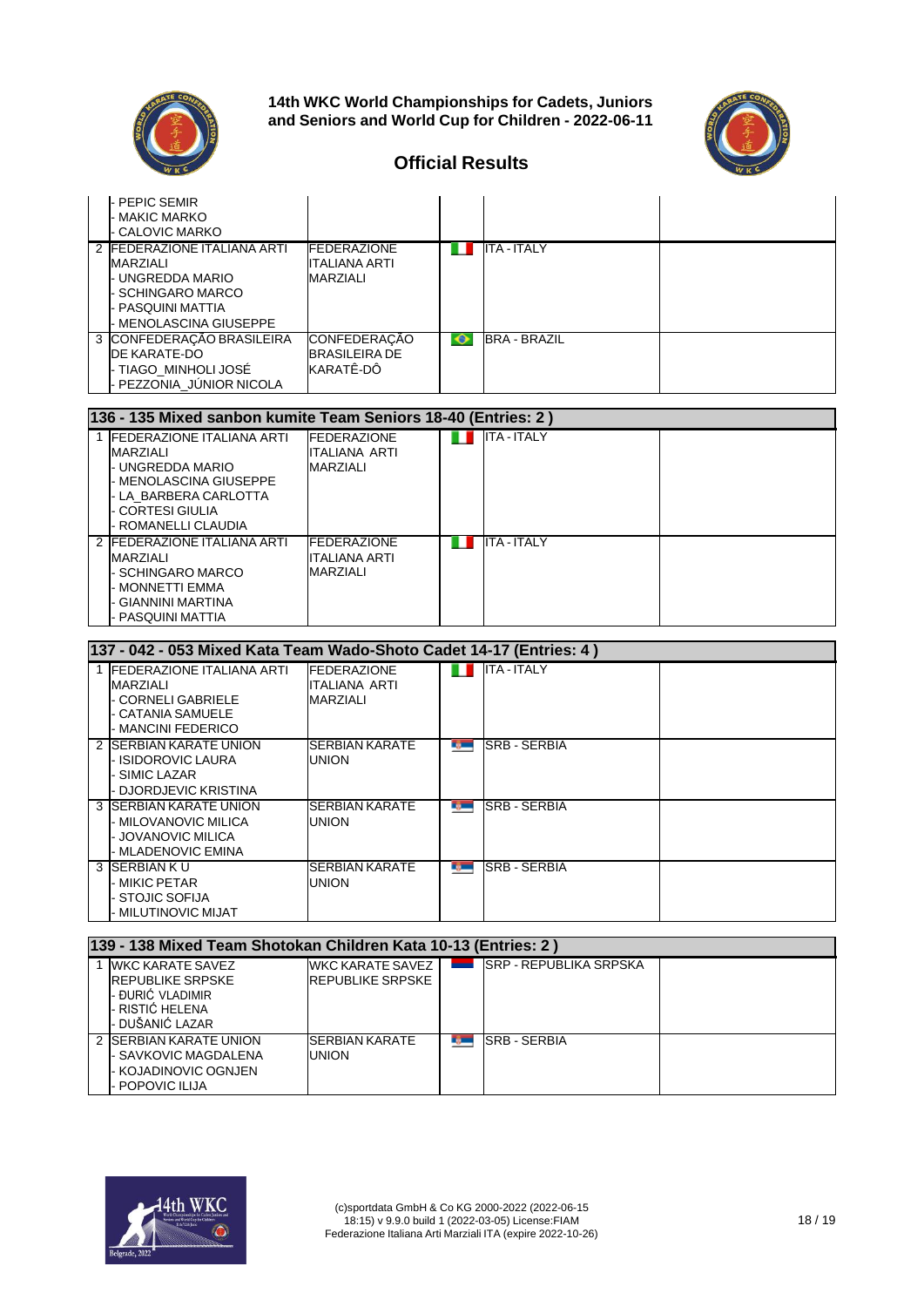



|     | - PEPIC SEMIR<br>- MAKIC MARKO<br>- CALOVIC MARKO                                                                                     |                                                          |   |                     |  |
|-----|---------------------------------------------------------------------------------------------------------------------------------------|----------------------------------------------------------|---|---------------------|--|
|     | 2 FEDERAZIONE ITALIANA ARTI<br><b>MARZIALI</b><br>UNGREDDA MARIO<br><b>SCHINGARO MARCO</b><br>PASQUINI MATTIA<br>MENOLASCINA GIUSEPPE | <b>FEDERAZIONE</b><br>ITALIANA ARTI<br>MARZIALI          |   | <b>ITA - ITALY</b>  |  |
|     | 3 CONFEDERAÇÃO BRASILEIRA<br>DE KARATE-DO<br>- TIAGO MINHOLI JOSÉ<br>PEZZONIA JUNIOR NICOLA                                           | <b>CONFEDERACAO</b><br><b>BRASILEIRA DE</b><br>KARATÊ-DÔ | ∙ | <b>BRA - BRAZIL</b> |  |
| 10C | $ADE$ Mived contrar lumits Team Caniana 40, 40 (Entricated)                                                                           |                                                          |   |                     |  |

| 136 - 135 Mixed sanbon kumite Team Seniors 18-40 (Entries: 2)                                                                                                            |                                                         |  |                    |  |  |  |  |
|--------------------------------------------------------------------------------------------------------------------------------------------------------------------------|---------------------------------------------------------|--|--------------------|--|--|--|--|
| 1 <b>IFEDERAZIONE ITALIANA ARTI</b><br><b>MARZIALI</b><br>- UNGREDDA MARIO<br>- MENOLASCINA GIUSEPPE<br>- LA BARBERA CARLOTTA<br>- CORTESI GIULIA<br>- ROMANELLI CLAUDIA | <b>IFEDERAZIONE</b><br>ITALIANA ARTI<br><b>MARZIALI</b> |  | <b>ITA - ITALY</b> |  |  |  |  |
| 2 FEDERAZIONE ITALIANA ARTI<br>MARZIALI<br>- SCHINGARO MARCO<br>- MONNETTI EMMA<br>- GIANNINI MARTINA<br>- PASQUINI MATTIA                                               | <b>IFEDERAZIONE</b><br>ITALIANA ARTI<br><b>MARZIALI</b> |  | <b>ITA-ITALY</b>   |  |  |  |  |

| 137 - 042 - 053 Mixed Kata Team Wado-Shoto Cadet 14-17 (Entries: 4 )                                               |                                                 |                |                      |  |  |  |  |
|--------------------------------------------------------------------------------------------------------------------|-------------------------------------------------|----------------|----------------------|--|--|--|--|
| <b>FEDERAZIONE ITALIANA ARTI</b><br>MARZIALI<br>- CORNELI GABRIELE<br>- CATANIA SAMUELE<br><b>MANCINI FEDERICO</b> | <b>FEDERAZIONE</b><br>ITALIANA ARTI<br>MARZIALI |                | $ITA - ITALY$        |  |  |  |  |
| 2 SERBIAN KARATE UNION<br><b>ISIDOROVIC LAURA</b><br>SIMIC LAZAR<br>DJORDJEVIC KRISTINA                            | <b>SERBIAN KARATE</b><br><b>UNION</b>           | <b>COMPOS</b>  | <b>ISRB - SERBIA</b> |  |  |  |  |
| 3 ISERBIAN KARATE UNION<br>- MILOVANOVIC MILICA<br>- JOVANOVIC MILICA<br>- MLADENOVIC EMINA                        | <b>ISERBIAN KARATE</b><br><b>UNION</b>          | <b>Tyler</b>   | <b>ISRB - SERBIA</b> |  |  |  |  |
| 3 SERBIAN K U<br>- MIKIC PETAR<br><b>STOJIC SOFIJA</b><br><b>MILUTINOVIC MIJAT</b>                                 | ISERBIAN KARATE<br><b>UNION</b>                 | <b>COMPANY</b> | <b>ISRB - SERBIA</b> |  |  |  |  |

| 139 - 138 Mixed Team Shotokan Children Kata 10-13 (Entries: 2)                                            |                                             |    |                         |  |  |  |  |  |
|-----------------------------------------------------------------------------------------------------------|---------------------------------------------|----|-------------------------|--|--|--|--|--|
| 1 IWKC KARATE SAVEZ<br><b>IREPUBLIKE SRPSKE</b><br>- ĐURIĆ VLADIMIR<br>- RISTIĆ HELENA<br>- DUŠANIĆ LAZAR | WKC KARATE SAVEZ<br><b>REPUBLIKE SRPSKE</b> |    | ISRP - REPUBLIKA SRPSKA |  |  |  |  |  |
| 2 SERBIAN KARATE UNION<br>- SAVKOVIC MAGDALENA<br>- KOJADINOVIC OGNJEN<br>POPOVIC ILIJA                   | SERBIAN KARATE<br><b>UNION</b>              | L, | <b>SRB-SERBIA</b>       |  |  |  |  |  |